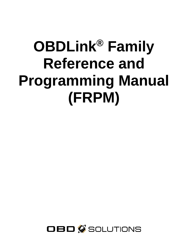# **OBDLink® Family Reference and Programming Manual (FRPM)**

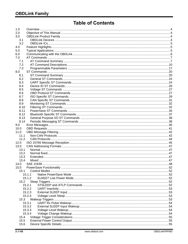# **Table of Contents**

| 1.0  |        |  |
|------|--------|--|
| 2.0  |        |  |
| 3.0  |        |  |
| 3.1  |        |  |
| 3.2  |        |  |
| 4.0  |        |  |
| 5.0  |        |  |
| 6.0  |        |  |
| 7.0  |        |  |
| 7.1  |        |  |
| 7.2  |        |  |
| 7.3  |        |  |
| 8.0  |        |  |
| 8.1  |        |  |
| 8.2  |        |  |
| 8.3  |        |  |
| 8.4  |        |  |
| 8.5  |        |  |
| 8.6  |        |  |
| 8.7  |        |  |
| 8.8  |        |  |
| 8.9  |        |  |
| 8.10 |        |  |
| 8.11 |        |  |
| 8.12 |        |  |
| 8.13 |        |  |
| 8.14 |        |  |
| 9.0  |        |  |
| 10.0 |        |  |
| 11.0 |        |  |
| 11.1 |        |  |
| 11.2 |        |  |
| 12.0 |        |  |
| 13.0 |        |  |
| 13.1 |        |  |
| 13.2 |        |  |
| 13.3 |        |  |
| 13.4 |        |  |
| 14.0 |        |  |
| 15.0 |        |  |
| 15.1 |        |  |
|      | 15.1.1 |  |
|      | 15.1.2 |  |
| 15.2 |        |  |
|      | 15.2.1 |  |
|      | 15.2.2 |  |
|      | 15.2.3 |  |
|      | 15.2.4 |  |
| 15.3 |        |  |
|      | 15.3.1 |  |
|      | 15.3.2 |  |
|      | 15.3.3 |  |
|      | 15.3.4 |  |
| 15.4 |        |  |
| 15.5 |        |  |
| 15.6 |        |  |
|      |        |  |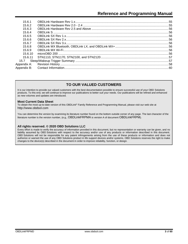| 1561        |  |
|-------------|--|
| 15.6.2      |  |
| 15.6.3      |  |
| 15.6.4      |  |
| 15.6.5      |  |
| 15.6.6      |  |
| 15.6.7      |  |
| 15.6.8      |  |
| 15.6.9      |  |
| 15.6.10     |  |
| 15.6.11     |  |
|             |  |
| Appendix A: |  |
|             |  |
|             |  |

# **TO OUR VALUED CUSTOMERS**

It is our intention to provide our valued customers with the best documentation possible to ensure successful use of your OBD Solutions products. To this end, we will continue to improve our publications to better suit your needs. Our publications will be refined and enhanced as new volumes and updates are introduced.

#### **Most Current Data Sheet**

To obtain the most up-to-date version of this OBDLink® Family Reference and Programming Manual, please visit our web site at [http://www.obdsol.com](http://www.obdsol.com/)

You can determine the version by examining its literature number found on the bottom outside corner of any page. The last character of the literature number is the version number, (e.g., OBDLinkFRPMA is version A of document OBDLinkFRPM).

#### **All rights reserved. © 2020 OBD Solutions LLC**

Every effort is made to verify the accuracy of information provided in this document, but no representation or warranty can be given, and no liability assumed by OBD Solutions with respect to the accuracy and/or use of any products or information described in this document. OBD Solutions will not be responsible for any patent infringements arising from the use of these products or information and does not authorize or warrant the use of any OBD Solutions product in life support devices and/or systems. OBD Solutions reserves the right to make changes to the device(s) described in the document in order to improve reliability, function, or design.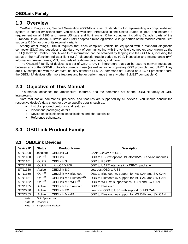# <span id="page-3-0"></span>**1.0 Overview**

On-Board Diagnostics, Second Generation (OBD-II) is a set of standards for implementing a computer-based system to control emissions from vehicles. It was first introduced in the United States in 1994 and became a requirement on all 1996 and newer US cars and light trucks. Other countries, including Canada, parts of the European Union, Japan, Australia, and Brazil adopted similar legislation. A large portion of the modern vehicle fleet supports OBD-II or one of its regional variants.

Among other things, OBD-II requires that each compliant vehicle be equipped with a standard diagnostic connector (DLC) and describes a standard way of communicating with the vehicle's computer, also known as the ECU (Electronic Control Unit). A wealth of information can be obtained by tapping into the OBD bus, including the status of the malfunction indicator light (MIL), diagnostic trouble codes (DTCs), inspection and maintenance (I/M) information, freeze frames, VIN, hundreds of real-time parameters, and more.

The OBDLink® family of devices is a set of OBD to UART interpreters that can be used to convert messages between any of the OBD-II protocols currently in use (as well as some proprietary OBD protocols) and UART. They are fully compatible with the *de facto* industry standard ELM327 command set. Based on a 16-bit processor core, the OBDLink® devices offer more features and better performance than any other ELM327 compatible IC.

# <span id="page-3-1"></span>**2.0 Objective of This Manual**

This manual describes the architecture, features, and the command set of the OBDLink family of OBD interpreters.

Note that not all commands, protocols, and features are supported by all devices. You should consult the respective device's data sheet for device-specific details, such as:

- List of supported protocols and features
- Pinout and packaging details
- Device-specific electrical specifications and characteristics
- Reference schematics

# <span id="page-3-3"></span><span id="page-3-2"></span>**3.0 OBDLink Product Family**

# **3.1 OBDLink Devices**

| <b>Device ID</b> | <b>Status</b>      | <b>Product Name</b>                 | <b>Description</b>                                    |
|------------------|--------------------|-------------------------------------|-------------------------------------------------------|
| STN1000          | Obsolete           | <b>OBDLink CI</b>                   | CAN/ISO/KWP to USB                                    |
| STN1100          | OoP <sup>(1)</sup> | <b>OBDLink</b>                      | OBD to USB w/ optional Bluetooth/Wi-Fi add-on modules |
| STN1101          | OoP <sup>(1)</sup> | <b>OBDLink S</b>                    | OBD to RS232                                          |
| STN1120          | OoP <sup>(1)</sup> | microOBD 200                        | OBD to UART interface in a DIP-24 package             |
| STN1130          | Active             | <b>OBDLink SX</b>                   | Low cost OBD to USB                                   |
| <b>STN1150</b>   | OoP <sup>(1)</sup> | <b>OBDLink MX Bluetooth</b>         | OBD to Bluetooth w/ support for MS CAN and SW CAN     |
| <b>STN1151</b>   | OoP <sup>(1)</sup> | OBDLink MX Bluetooth <sup>(2)</sup> | OBD to Bluetooth w/ support for MS CAN and SW CAN     |
| STN1152          | OoP <sup>(1)</sup> | OBDLink MX Wi-Fi <sup>(3)</sup>     | OBD to Wi-Fi w/ support for MS CAN and SW CAN         |
| <b>STN1155</b>   | Active             | <b>OBDLink LX Bluetooth</b>         | <b>OBD</b> to Bluetooth                               |
| STN2230          | Active             | <b>OBDLink EX</b>                   | Low cost OBD to USB with support for MS CAN           |
| <b>STN2255</b>   | Active             | OBDLink MX+(3)                      | OBD to Bluetooth w/ support for MS CAN and SW CAN     |

**Note 1.** Out of production

**Note 2.** Revision 2

**Note 3.** Supports iOS devices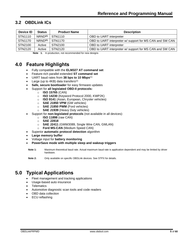# <span id="page-4-0"></span>**3.2 OBDLink ICs**

| Device ID      | <b>Status</b>       | <b>Product Name</b> | <b>Description</b>                                       |
|----------------|---------------------|---------------------|----------------------------------------------------------|
| STN1110        | NRND <sup>(1)</sup> | STN1110             | OBD to UART interpreter                                  |
| <b>STN1170</b> | NRND <sup>(1)</sup> | STN1170             | OBD to UART interpreter w/ support for MS CAN and SW CAN |
| STN2100        | Active              | STN2100             | OBD to UART interpreter                                  |
| STN2120        | Active              | STN2120             | OBD to UART interpreter w/ support for MS CAN and SW CAN |

**Note 1.** In production, not recommended for new designs

# <span id="page-4-1"></span>**4.0 Feature Highlights**

- Fully compatible with the **ELM327 AT command set**
- Feature-rich parallel extended **ST command set**
- UART baud rates from **38 bps to 10 Mbps**(1)
- Large (up to  $4KB$ ) data transfers<sup>(2)</sup>
- **Safe, secure bootloader** for easy firmware updates
- Support for **all legislated OBD-II protocols:**
	- o **ISO 15765** (CAN)
	- o **ISO 14230** (Keyword Protocol 2000, KWP2K)
	- o **ISO 9141** (Asian, European, Chrysler vehicles)
	- o **SAE J1850 VPW** (GM vehicles)
	- o **SAE J1850 PWM** (Ford vehicles)
	- o **SAE J1939** (Heavy Duty vehicles)
- Support for **non-legislated protocols** (not available in all devices):
	- o **ISO 11898** (raw CAN)
	- o **SAE J2818**
	- o **SAE J2411** (GMW3089, Single Wire CAN, GMLAN)
	- o **Ford MS-CAN** (Medium Speed CAN)
- Superior **automatic protocol detection** algorithm
- **Large memory buffer**
- Voltage input for **battery monitoring**
- **PowerSave mode with multiple sleep and wakeup triggers**

**Note 1:** Maximum theoretical baud rate. Actual maximum baud rate is application dependent and may be limited by driver hardware.

**Note 2:** Only available on specific OBDLink devices. See STPX for details.

# <span id="page-4-2"></span>**5.0 Typical Applications**

- Fleet management and tracking applications
- Usage-based auto insurance
- **Telematics**
- Automotive diagnostic scan tools and code readers
- OBD data collection
- ECU reflashing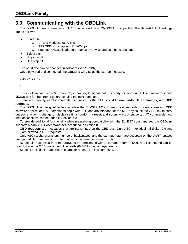# <span id="page-5-0"></span>**6.0 Communicating with the OBDLink**

The OBDLink uses a three-wire UART connection that is CMOS/TTL compatible. The *default* UART settings are as follows:

- Baud rate:
	- o ICs and modules: 9600 bps
	- o USB OBDLink adapters: 115200 bps
	- o Bluetooth OBDLink adapters: Varies by device and cannot be changed
- 8 data bits
- No parity bit
- One stop bit

The baud rate can be changed in software (see [STSBR\)](#page-24-0). Once powered and connected, the OBDLink will display the startup message:

ELM327 v1.4b

>

The OBDLink sends the '>' ("prompt") character, to signal that it is ready for more input. User software should always wait for the prompt before sending the next command.

There are three types of commands recognized by the OBDLink: **AT commands, ST commands,** and **OBD requests.**

The OBDLink is designed to fully emulate the ELM327 **AT command set** supported by many existing OBD software applications. AT commands begin with "AT" and are intended for the IC. They cause the OBDLink to carry out some action – change or display settings, perform a reset, and so on. A list of supported AT commands, and their descriptions can be found in Section [7.0.](#page-6-0)

To provide additional functionality while maintaining compatibility with the ELM327 command set, the OBDLink supports a parallel **ST command set**, described in Section [8.0.](#page-19-0)

**OBD requests** are messages that are transmitted on the OBD bus. Only ASCII hexadecimal digits (0-9 and A-F) are allowed in OBD requests.

Only ASCII alpha characters, numbers, backspaces, and the carriage return are accepted on the UART, spaces are ignored. All commands must terminate with a carriage return (0x0D).

By default, responses from the OBDLink are terminated with a carriage return (0x0D). ATL1 command can be used to have the OBDLink append line feeds (0x0A) to the carriage returns.

Sending a single carriage return character repeats the last command.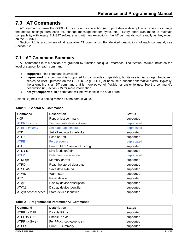# <span id="page-6-0"></span>**7.0 AT Commands**

AT commands cause the OBDLink to carry out some action (e.g., print device description or reboot) or change the default settings (turn echo off, change message header bytes, etc.). Every effort was made to maintain compatibility with legacy ELM327 software, and with few exceptions, the AT commands work exactly as they would on the ELM327.

<span id="page-6-1"></span>Section [7.1](#page-6-1) is a summary of all available AT commands. For detailed descriptions of each command, see Section [7.2.](#page-9-0)

# **7.1 AT Command Summary**

AT commands in this section are grouped by function, for quick reference. The 'Status' column indicates the level of support for each command:

- **supported:** this command is available
- **deprecated:** this command is supported for backwards compatibility, but its use is discouraged because it serves no useful purpose on the OBDLink (e.g., [ATFE\)](#page-11-0) or because a superior alternative exists. Typically, the alternative is an ST command that is more powerful, flexible, or easier to use. See the command's description (in Section [7.2\)](#page-9-0) for more information.
- **not yet supported:** this command will be available in the near future

Asterisk (\*) next to a setting means it's the default value.

| Command              | <b>Description</b>             | <b>Status</b> |
|----------------------|--------------------------------|---------------|
| $<$ CR $>$           | Repeat last command            | supported     |
| <b>ATBRD</b> divisor | Try baud rate divisor divisor  | deprecated    |
| <b>ATBRT</b> timeout | Set baud rate timeout          | deprecated    |
| ATD                  | Set all settings to defaults   | supported     |
| ATE 1 0              | Echo on*/off                   | supported     |
| <b>ATFE</b>          | <b>Forget events</b>           | deprecated    |
| ATI                  | Print ELM327 version ID string | supported     |
| ATL 1 0              | Line feeds on/off*             | supported     |
| <b>ATLP</b>          | Enter low power mode           | deprecated    |
| ATM 1 0              | Memory on*/off                 | supported     |
| ATRD                 | Read the stored data byte      | supported     |
| ATSD hh              | Save data byte hh              | supported     |
| <b>ATWS</b>          | Warm start                     | supported     |
| <b>ATZ</b>           | Reset device                   | supported     |
| AT@1                 | Display device description     | supported     |
| AT@2                 | Display device identifier      | supported     |
| AT@3 ccccccccccccc   | Store device identifier        | supported     |

#### **Table 1 – General AT Commands**

#### **Table 2 – Programmable Parameter AT Commands**

| Command       | <b>Description</b>         | <b>Status</b> |
|---------------|----------------------------|---------------|
| ATPP xx OFF   | Disable PP xx              | supported     |
| ATPP xx ON    | Enable PP xx               | supported     |
| ATPP xx SV yy | For PP xx, set value to yy | supported     |
| <b>ATPPS</b>  | <b>Print PP summary</b>    | supported     |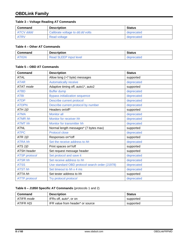# **Table 3 – Voltage Reading AT Commands**

| Command   | <b>Description</b>               | Status     |
|-----------|----------------------------------|------------|
| ATCV dddd | Calibrate voltage to dd.dd volts | deprecated |
| ATRV      | Read voltage                     | deprecated |

#### **Table 4 – Other AT Commands**

| Command      | <b>Description</b>            | <b>Status</b> |
|--------------|-------------------------------|---------------|
| <b>ATIGN</b> | <b>Read SLEEP input level</b> | deprecated    |

## **Table 5 – OBD AT Commands**

| <b>Command</b>       | <b>Description</b>                             | <b>Status</b> |
|----------------------|------------------------------------------------|---------------|
| <b>ATAL</b>          | Allow long (>7 byte) messages                  | supported     |
| <b>ATAR</b>          | Automatically receive                          | deprecated    |
| ATAT mode            | Adaptive timing off, auto1*, auto2             | supported     |
| <b>ATBD</b>          | <b>Buffer dump</b>                             | deprecated    |
| <b>ATBI</b>          | <b>Bypass initialization sequence</b>          | deprecated    |
| <b>ATDP</b>          | Describe current protocol                      | deprecated    |
| <b>ATDPN</b>         | Describe current protocol by number            | deprecated    |
| ATH 1 0              | Headers on/off*                                | supported     |
| <b>ATMA</b>          | <b>Monitor all</b>                             | deprecated    |
| <b>ATMR hh</b>       | Monitor for receiver hh                        | deprecated    |
| <b>ATMT</b> hh       | Monitor for transmitter hh                     | deprecated    |
| <b>ATNL</b>          | Normal length messages* (7 bytes max)          | supported     |
| <b>ATPC</b>          | Protocol close                                 | deprecated    |
| ATR 1/0              | Responses on*/off                              | supported     |
| <b>ATRA hh</b>       | Set the receive address to hh                  | deprecated    |
| ATS 1 0              | Print spaces on*/off                           | supported     |
| <b>ATSH</b> header   | Set request message header                     | supported     |
| <b>ATSP</b> protocol | Set protocol and save it                       | deprecated    |
| <b>ATSR hh</b>       | Set receive address to hh                      | deprecated    |
| <b>ATSS</b>          | Use standard OBD protocol search order (J1978) | deprecated    |
| <b>ATST hh</b>       | Set timeout to hh x 4 ms                       | deprecated    |
| ATTA hh              | Set tester address to hh                       | supported     |
| <b>ATTP</b> protocol | Try protocol protocol                          | deprecated    |

#### **Table 6 – J1850 Specific AT Commands** (protocols 1 and 2)

| Command          | <b>Description</b>               | Status    |
|------------------|----------------------------------|-----------|
| ATIFR mode       | IFRs off, auto*, or on           | supported |
| ATIFR <i>HIS</i> | IFR value from header* or source | supported |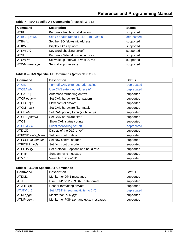| Command           | <b>Description</b>                    | <b>Status</b> |
|-------------------|---------------------------------------|---------------|
| <b>ATFI</b>       | Perform a fast bus initialization     | supported     |
| ATIB 10   48   96 | Set ISO baud rate to 10400*/4800/9600 | deprecated    |
| ATIIA hh          | Set the ISO (slow) init address       | supported     |
| <b>ATKW</b>       | Display ISO key word                  | supported     |
| <b>ATKW 1 0</b>   | Key word checking on*/off             | supported     |
| <b>ATSI</b>       | Perform a 5-baud bus initialization   | supported     |
| ATSW hh           | Set wakeup interval to hh x 20 ms     | supported     |
| ATWM message      | Set wakeup message                    | supported     |

# **Table 7 – ISO Specific AT Commands** (protocols 3 to 5)

## **Table 8 – CAN Specific AT Commands** (protocols 6 to C)

| <b>Command</b>      | <b>Description</b>                   | <b>Status</b> |
|---------------------|--------------------------------------|---------------|
| <b>ATCEA</b>        | Turn off CAN extended addressing     | deprecated    |
| <b>ATCEA hh</b>     | Use CAN extended address hh          | deprecated    |
| ATCAF 1 0           | Automatic formatting on*/off         | supported     |
| <b>ATCF</b> pattern | Set CAN hardware filter pattern      | supported     |
| ATCFC 1 0           | Flow control on*/off                 | supported     |
| ATCM mask           | Set CAN hardware filter mask         | supported     |
| ATCP hh             | Set CAN priority to hh (29 bit only) | supported     |
| ATCRA pattern       | Set CAN hardware filter              | supported     |
| <b>ATCS</b>         | Show CAN status counts               | supported     |
| ATCSM 1 0           | Silent monitoring on*/off            | deprecated    |
| ATD $1/0$           | Display of the DLC on/off*           | supported     |
| ATFCSD data_bytes   | Set flow control data                | supported     |
| ATFCSH fc_header    | Set flow control header              | supported     |
| ATFCSM mode         | Set flow control mode                | supported     |
| ATPB xx yy          | Set protocol B options and baud rate | supported     |
| <b>ATRTR</b>        | Send an RTR message                  | supported     |
| ATV 1 0             | Variable DLC on/off*                 | supported     |

## **Table 9 – J1939 Specific AT Commands**

| <b>Command</b>   | <b>Description</b>                     | <b>Status</b> |
|------------------|----------------------------------------|---------------|
| ATDM1            | Monitor for DM1 messages               | supported     |
| ATJ EIS          | Use ELM* or J1939 SAE data format      | supported     |
| ATJHF 1 0        | Header formatting on*/off              | supported     |
| <b>ATJTM 1/5</b> | Set ATST timeout multiplier to 1*/5    | deprecated    |
| ATMP pgn         | Monitor for PGN pgn                    | supported     |
| ATMP pgn n       | Monitor for PGN pgn and get n messages | supported     |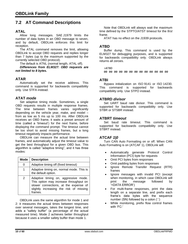# <span id="page-9-0"></span>**7.2 AT Command Descriptions**

#### <span id="page-9-3"></span>**ATAL**

Allow long messages. SAE J1979 limits the number of data bytes in an OBD message to seven, and by default, OBDLink enforces this limit for reception.

The ATAL command removes the limit, allowing OBDLink to accept OBD requests and replies longer than 7 bytes (up to the maximum supported by the currently selected OBD protocol).

The default is [ATNL](#page-13-10) (normal length, ATAL off).

*Differences from ELM327: OBD requests are not limited to 8 bytes.*

# <span id="page-9-4"></span>**ATAR**

Automatically set the receive address. This command is supported for backwards compatibility only. Use [STFA](#page-31-2) instead.

## <span id="page-9-5"></span>**ATAT** *mode*

Set adaptive timing mode. Sometimes, a single OBD requests results in multiple response frames. The time between frames varies significantly depending on the vehicle year, make, and model – from as low as 5 ms up to 100 ms. After OBDLink receives an OBD frame, it waits a preset amount of time (called a 'timeout') for the next frame, before displaying the command prompt. The timeout cannot be too short to avoid missing frames, but a long timeout negatively impacts performance.

OBDLink can measure the actual time between frames, and automatically adjust the timeout value to get the best throughput for a given OBD bus. This algorithm is called "adaptive timing", and it has three modes:

| Mode | <b>Description</b>                                                                                                                                                            |
|------|-------------------------------------------------------------------------------------------------------------------------------------------------------------------------------|
| 0    | Adaptive timing off (fixed timeout)                                                                                                                                           |
| 1    | Adaptive timing on, normal mode. This is<br>the default option.                                                                                                               |
| 2    | Adaptive timing on, aggressive mode.<br>This option may increase throughput on<br>slower connections, at the expense of<br>slightly increasing the risk of missing<br>frames. |

OBDLink uses the same algorithm for mode 1 and 2: it measures the actual times between responses over several messages, takes the longest time, and adds a "safety buffer" (a percentage of the actual measured time). Mode 2 achieves better throughput because it uses a smaller safety buffer than mode 1.

Note that OBDLink will always wait the maximum time defined by the [STPTO](#page-27-0)[/ATST](#page-15-5) timeout for the *first* frame.

ATAT has no effect on the J1939 protocols.

#### <span id="page-9-6"></span>**ATBD**

Buffer dump. This command is used by the ELM327 for debugging purposes, and is supported for backwards compatibility only. OBDLink always returns all zeroes.

>ATBD 00 00 00 00 00 00 00 00 00 00 00 00 00

## <span id="page-9-7"></span>**ATBI**

Bypass initialization on ISO 9141 or ISO 14230. This command is supported for backwards compatibility only. Use [STPO](#page-27-1) instead.

## <span id="page-9-1"></span>**ATBRD** *divisor*

Set UART baud rate divisor. This command is supported for backwards compatibility only. Use [STBR](#page-23-2) or [STSBR](#page-24-0) instead.

#### <span id="page-9-2"></span>**ATBRT** *timeout*

Set baud rate timeout. This command is supported for backwards compatibility only. Use [STBRT](#page-23-3) instead.

#### <span id="page-9-8"></span>**ATCAF** *1|0*

Turn CAN Auto Formatting on or off. When CAN Auto Formatting is on (ATCAF 1), OBDLink will:

- Automatically generate Protocol Control Information (PCI) byte for requests
- Omit PCI bytes from responses
- Omit padding bytes from responses
- Ignore Remote Transfer Request (RTR) frames
- Ignore messages with invalid PCI (except when monitoring, in which case OBDLink will print the message followed by '<DATA ERROR')
- For multi-frame responses, print the data length on a separate line, and prefix each frame's data bytes with the sequence number (SN) followed by a colon (':')
- While monitoring, prefix flow control frames with 'FC:'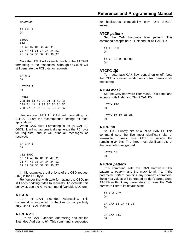>ATCAF 1 OK

>0902 014 0: 49 02 01 31 47 31 1: 4A 43 35 34 34 34 52 2: 37 32 35 32 33 36 37

Note that [ATH1](#page-12-3) will override much of the [ATCAF1](#page-9-8) formatting of the responses, although OBDLink will still generate the PCI byte for requests:

>ATH 1 OK >ATCAF 1 OK >0902 7E8 10 14 49 02 01 31 47 31 7E8 21 4A 43 35 34 34 34 52 7E8 22 37 32 35 32 33 36 37

Headers on [\(ATH](#page-12-3) 1), CAN auto formatting on [\(ATCAF](#page-9-8) 1) are the recommended settings for most applications.

When CAN Auto Formatting is off [\(ATCAF](#page-9-8) 0), OBDLink will not automatically generate the PCI byte for requests, and it will print all messages as received:

>ATCAF 0 OK >02 0902 10 14 49 02 01 31 47 31 21 4A 43 35 34 34 34 52 22 37 32 35 32 33 36 37

In this example, the first byte of the OBD request ('02') is the PCI byte.

Remember that with auto formatting off, OBDLink still adds padding bytes to requests. To override this behavior, use the [ATV1](#page-15-10) command (variable DLC on).

# <span id="page-10-0"></span>**ATCEA**

Turn off CAN Extended Addressing. This command is supported for backwards compatibility only. Use [STCAF](#page-30-1) instead.

# <span id="page-10-1"></span>**ATCEA** *hh*

Turn on CAN Extended Addressing and set the Extended Address to *hh.* This command is supported for backwards compatibility only. Use [STCAF](#page-30-1) instead.

## <span id="page-10-2"></span>**ATCF** *pattern*

Set the CAN hardware filter pattern. This command accepts both 11-bit and 29-bit CAN IDs.

>ATCF 7E0 OK >ATCF 18 DB 00 00

<span id="page-10-3"></span>OK

# **ATCFC** *1|0*

Turn automatic CAN flow control on or off. Note that OBDLink never sends flow control frames while monitoring.

## <span id="page-10-4"></span>**ATCM** *mask*

Set the CAN hardware filter mask. This command accepts both 11-bit and 29-bit CAN IDs.

>ATCM FF0 OK >ATCM FF FE 00 00 **OK** 

#### <span id="page-10-5"></span>**ATCP** *hh*

Set CAN Priority bits of a 29-bit CAN ID. This command sets the five most significant bits of transmitted frames. Use [ATSH](#page-14-3) to assign the remaining 24 bits. The three most significant bits of the parameter are ignored.

>ATCP 18 **OK** 

# <span id="page-10-6"></span>**ATCRA** *pattern*

This command sets the CAN hardware filter pattern to *pattern*, and the mask to all 1's. If the parameter *pattern* contains any non-hex characters, those hex values will be treated as don't cares. Send ATCRA (without any parameters) to reset the CAN hardware filter to its default state.

>ATCRA 7E9 OK >ATCRA 18 DA F1 10 OK >ATCRA 7EX OK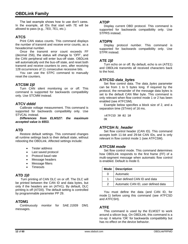# **OBDLink Family**

The last example shows how to use don't cares. In the example, all IDs that start with 7E will be allowed to pass (e.g., 7E0, 7E1, etc.).

## <span id="page-11-6"></span>**ATCS**

Print CAN status counts. This command displays the number of transmit and receive error counts, as a hexadecimal number.

Once the transmit error count exceeds FF (decimal 256), the status will change to 'OFF', and the CAN peripheral will enter bus-off state. OBDLink will automatically exit the bus-off state, and reset both transmit and receive counters to zero, after receiving 128 occurrences of 11 consecutive recessive bits.

You can use the [STPC](#page-27-2) command to manually reset the counters.

#### <span id="page-11-7"></span>**ATCSM** *1|0*

Turn CAN silent monitoring on or off. This command is supported for backwards compatibility only. Use [STCMM](#page-30-2) instead.

#### <span id="page-11-3"></span>**ATCV** *dddd*

Calibrate voltage measurement. This command is supported for backwards compatibility only. Use [STVCAL](#page-26-2) instead.

*Differences from ELM327: the maximum accepted value is 6553.*

#### <span id="page-11-1"></span>**ATD**

Restore default settings. This command changes all runtime settings back to their default state, without rebooting the OBDLink. Affected settings include:

- Tester address
- Last saved protocol
- Protocol baud rate
- Message headers
- Message filters
- Timeouts

#### <span id="page-11-8"></span>**ATD** *1|0*

Turn printing of CAN DLC on or off. The DLC will be printed between the CAN ID and data bytes, but only if the headers are on [\(ATH1](#page-12-3)). By default, DLC printing is off [\(ATD0](#page-11-8)). The default setting is controlled by programmable parameter PP 29.

#### <span id="page-11-12"></span>**ATDM1**

Continuously monitor for SAE J1939 DM1 messages.

#### <span id="page-11-4"></span>**ATDP**

Display current OBD protocol. This command is supported for backwards compatibility only. Use [STPRS](#page-27-3) instead.

#### <span id="page-11-5"></span>**ATDPN**

Display protocol number. This command is supported for backwards compatibility only. Use [STPR](#page-27-4) instead.

#### <span id="page-11-2"></span>**ATE** *1|0*

Turn echo on or off. By default, echo is on [\(ATE1](#page-11-2)) and OBDLink transmits all received characters back to the host.

#### <span id="page-11-9"></span>**ATFCSD** *data\_bytes*

Set flow control data. The *data\_bytes* parameter can be from 1 to 5 bytes long. If required by the protocol, the remainder of the message data bytes is set to the default CAN filler byte. This command is only relevant when flow control mode 1 or 2 has been enabled (see [ATFCSM\)](#page-11-11).

Example below specifies a block size of 2, and a separation time (STmin) of 16 ms.

>ATFCSD 30 02 10 OK

#### <span id="page-11-10"></span>**ATFCSH** *fc\_header*

Set flow control header (CAN ID). This command accepts both 11-bit and 29-bit CAN IDs, and is only relevant in flow control mode 1 (see [ATFCSM\)](#page-11-11).

#### <span id="page-11-11"></span>**ATFCSM** *mode*

Set flow control mode. This command determines how OBDLink responds to the first frame (FF) of a multi-segment message when automatic flow control is enabled. Default is mode 0.

|               | Mode   Description                  |
|---------------|-------------------------------------|
| 0             | Automatic                           |
|               | User defined CAN ID and data        |
| $\mathcal{P}$ | Automatic CAN ID, user defined data |

You must define the data (and CAN ID, for mode 1) before using this command (see [ATFCSD](#page-11-9) and [ATFCSH\)](#page-11-10).

#### <span id="page-11-0"></span>**ATFE**

This command is used by the ELM327 to work around a silicon bug. On OBDLink, this command is a no-op: it returns 'OK' for backwards compatibility but has no effect on the device behavior.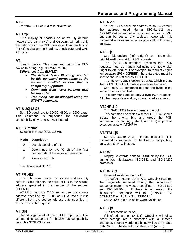# <span id="page-12-6"></span>**ATFI**

Perform ISO 14230-4 fast initialization.

# <span id="page-12-3"></span>**ATH** *1|0*

Turn display of headers on or off. By default, headers are off [\(ATH0](#page-12-3)) and OBDLink will print only the data bytes of an OBD message. Turn headers on [\(ATH1](#page-12-3)) to display the headers, check byte, and CAN PCI byte.

# <span id="page-12-0"></span>**ATI**

Identify device. This command prints the ELM device ID string (e.g., 'ELM327 v1.4b').

*Differences from ELM327:*

- *The default device ID string reported by this command corresponds to the maximum ELM327 version that is completely supported.*
- *Commands from newer versions may be supported.*
- *This string can be changed using the [STSATI](#page-25-1) command.*

# <span id="page-12-7"></span>**ATIB** *10|48|96*

Set ISO baud rate to 10400, 4800, or 9600 baud. This command is supported for backwards compatibility only. Use [STPBR](#page-27-5) instead.

# <span id="page-12-4"></span>**ATIFR** *mode*

Select IFR mode (SAE J1850).

| Mode          | <b>Description</b>                                                            |
|---------------|-------------------------------------------------------------------------------|
| 0             | Disable sending of IFR                                                        |
| 1             | Determined by the 'K' bit of the first<br>header byte of the received message |
| $\mathcal{P}$ | Always send IFR                                                               |

The default is [ATIFR](#page-12-4) 1.

# <span id="page-12-5"></span>**ATIFR** *H|S*

Use IFR from header or source address. By default, OBDLink sets the value of IFR to the source address specified in the header of the request [\(ATIFR](#page-12-5) H).

[ATIFR](#page-12-5) S instructs OBDLink to use the source address specified by PP 06 or [ATTA,](#page-15-6) even if it is different from the source address byte specified in the header of the request.

# <span id="page-12-2"></span>**ATIGN**

Report logic level of the SLEEP input pin. This command is supported for backwards compatibility only. Use [STSLXS](#page-36-1) instead.

## <span id="page-12-8"></span>**ATIIA** *hh*

Set the ISO 5-baud init address to hh. By default, the address used during ISO 9141-2 and ISO 14230-4 5-baud initialization sequences is 0x33, but can be set to any arbitrary value with this command – for example, when physically addressing an ECU.

# <span id="page-12-11"></span>**ATJ** *E|S*

Use big-endian ('left-to-right') or little-endian ('right-to-left') format for PGN requests.

The SAE J1939 standard specifies that PGN requests must be transmitted using the little-endian ('right-to-left') format. For example, to request engine temperature (PGN 00FEEE), the data bytes must be sent on the J1939 bus as 'EE FE 00'.

The factory default option is [ATJE](#page-12-11), which means that OBDLink will automatically reverse the order.

Use the [ATJS](#page-12-11) command to send the bytes in the same order as specified.

This command affects only 3-byte PGN requests. All other requests are always transmitted as entered.

# <span id="page-12-12"></span>**ATJHF** *1|0*

Turn SAE J1939 header formatting on/off.

This command specifies whether OBDLink should isolate the priority bits and group the PGN information for printing (default, [ATJHF](#page-12-12) 1) or print all bytes separately [\(ATJHF](#page-12-12) 0).

# <span id="page-12-13"></span>**ATJTM** *1|5*

Set the J1939 ATST timeout multiplier. This command is supported for backwards compatibility only. Use [STPTO](#page-27-0) instead.

# <span id="page-12-9"></span>**ATKW**

Display keywords sent to OBDLink by the ECU during bus initialization (ISO 9141 and ISO 14230 protocols).

# <span id="page-12-10"></span>**ATKW** *1|0*

Keyword validation on or off.

The default setting is [ATKW](#page-12-10) 1: OBDLink requires that keywords received during the initialization sequence match the values specified in ISO 9141-2 and ISO 14230-4. If there is no match, the initialization sequence will fail ('UNABLE TO CONNECT' or 'BUS INIT: ...ERROR').

Use [ATKW](#page-12-10) 0 to turn off keyword validation.

# <span id="page-12-1"></span>**ATL** *1|0*

Turn linefeeds on or off.

If linefeeds are on [\(ATL](#page-12-1) 1), OBDLink will follow every carriage return character with a linefeed character. In other words, each line will be terminated with CR+LF. The default is linefeeds off [\(ATL](#page-12-1) 0).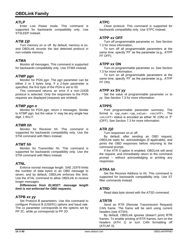#### <span id="page-13-0"></span>**ATLP**

Enter Low Power mode. This command is supported for backwards compatibility only. Use [STSLEEP](#page-35-0) instead.

#### <span id="page-13-1"></span>**ATM** *1|0*

Turn memory on or off. By default, memory is on, and OBDLink records the last detected protocol in non-volatile memory.

#### <span id="page-13-7"></span>**ATMA**

Monitor all messages. This command is supported for backwards compatibility only. Use [STMA](#page-31-3) instead.

#### <span id="page-13-16"></span>**ATMP** *pgn*

Monitor for PGN *pgn.* The *pgn* parameter can be either 2 or 3 bytes long. If a 2-byte parameter is specified, the first byte of the PGN is set to 00.

This command returns an error if a non-J1939 protocol is selected. Only the responses to the PGN requests are displayed (requests are omitted).

#### <span id="page-13-17"></span>**ATMP** *pgn n*

Monitor for PGN *pgn,* return *n* messages*.* Similar to [ATMP pgn,](#page-13-16) but the value 'n' may be any single hex digit, 1 thru F.

#### <span id="page-13-8"></span>**ATMR** *hh*

Monitor for Receiver hh. This command is supported for backwards compatibility only. Use the [STM](#page-31-4) command with filters instead.

#### <span id="page-13-9"></span>**ATMT** *hh*

Monitor for Transmitter hh. This command is supported for backwards compatibility only. Use the [STM](#page-31-4) command with filters instead.

#### <span id="page-13-10"></span>**ATNL**

Enforce normal message length. SAE J1979 limits the number of data bytes in an OBD message to seven, and by default, OBDLink enforces this limit. Use the [ATAL](#page-9-3) command to allow OBDLink to receive longer messages.

*Differences from ELM327: message length limit is not enforced for OBD requests.*

#### <span id="page-13-14"></span>**ATPB** *xx yy*

Set Protocol B parameters. Use this command to configure Protocol B (USER1) options and baud rate. The *xx* parameter corresponds to the options set by PP 2C, while *yy* corresponds to PP 2D.

## <span id="page-13-11"></span>**ATPC**

Close protocol. This command is supported for backwards compatibility only. Use [STPC](#page-27-2) instead.

#### <span id="page-13-3"></span>**ATPP** *xx* **OFF**

Turn off programmable parameter *xx.* See Section [7.3](#page-16-0) for more information.

To turn off all programmable parameters at the same time, specify 'FF' as the parameter (e.g., [ATPP](#page-13-3) FF OFF).

#### <span id="page-13-4"></span>**ATPP** *xx* **ON**

Turn on programmable parameter *xx*. See Section [7.3](#page-16-0) for more information.

To turn on all programmable parameters at the same time, specify 'FF' as the parameter (e.g., [ATPP](#page-13-4) FF ON).

#### <span id="page-13-5"></span>**ATPP** *xx* **SV** *yy*

Set the value of programmable parameter *xx* to *yy.* See Section [7.3](#page-16-0) for more information.

#### <span id="page-13-6"></span>**ATPPS**

Print programmable parameter summary. The format is <pp\_num>:<pp\_value> <on/off>. The <on/off> status is encoded as either 'N' (ON) or 'F' (OFF). See Section [7.3](#page-16-0) for more information.

#### <span id="page-13-12"></span>**ATR** *1|0*

Turn responses on or off.

By default, after sending an OBD request, OBDLink waits for, acknowledges (if applicable), and prints the OBD responses before returning to the command prompt.

If the [ATR](#page-13-12) 0 option is enabled, OBDLink will send the request, and immediately return to the command prompt – without acknowledging or printing any responses.

#### <span id="page-13-13"></span>**ATRA** *hh*

Set the Receive Address to *hh*. This command is supported for backwards compatibility only. Use ST filter commands instead.

#### <span id="page-13-2"></span>**ATRD**

Read data byte stored with the [ATSD](#page-14-0) command.

#### <span id="page-13-15"></span>**ATRTR**

Send an RTR (Remote Transmission Request) CAN frame. The frame will be sent using current headers (see [ATSH\)](#page-14-3).

By default, OBDLink ignores (doesn't print) RTR frames. To enable printing of RTR frames, turn on the headers [\(ATH](#page-12-3) 1) or turn CAN formatting off [\(ATCAF](#page-9-8) 0).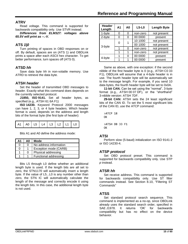## <span id="page-14-1"></span>**ATRV**

Read voltage. This command is supported for backwards compatibility only. Use [STVR](#page-26-3) instead.

*Differences from ELM327: voltages above 65.5V will print as --.-V.*

# <span id="page-14-2"></span>**ATS** *1|0*

Turn printing of spaces in OBD responses on or off. By default, spaces are on [\(ATS](#page-14-2) 1) and OBDLink prints a space after each ASCII hex character. To get better performance, turn spaces off [\(ATS](#page-14-2) 0).

## <span id="page-14-0"></span>**ATSD** *hh*

Save data byte *hh* in non-volatile memory. Use [ATRD](#page-13-2) to retrieve the data byte.

#### <span id="page-14-3"></span>**ATSH** *header*

Set the header of transmitted OBD messages to *header.* Exactly what this command does depends on the currently selected protocol.

**J1850, ISO 9141.** Set all header bytes, as specified (e.g., [ATSH](#page-14-3) 61 6A F1)

**ISO 14230.** Keyword Protocol 2000 messages can have 1, 2, 3, or 4 byte headers. Which header format is used, depends on the address and length bits of the format byte (the first byte of header):

|  |  |  |  |  |  | │ A1   A0   L5   L4   L3   L2   L1   L0 |  |
|--|--|--|--|--|--|-----------------------------------------|--|
|--|--|--|--|--|--|-----------------------------------------|--|

Bits A1 and A0 define the address mode:

| A1 | A0 | Mode                   |
|----|----|------------------------|
| O  | ი  | No address information |
| ი  | 1  | Exception mode (CARB)  |
|    | ი  | Physical addressing    |
|    | 1  | Functional addressing  |

Bits L5 through L0 define whether an additional length byte is used. If the length bits are all set to zero, the STN1170 will automatically insert a length byte. If the value of L5...L0 is any number other than zero, the STN IC will automatically calculate the length of the message and correctly encode it using the length bits. In this case, the additional length byte is not used.

| Header<br>Length | A1 | A0                      | $L5-L0$  | <b>Length Byte</b> |
|------------------|----|-------------------------|----------|--------------------|
| 1-byte           | 0  | not present<br>non-zero |          |                    |
| 2-byte           | ი  |                         | 00 0000  | present            |
|                  | 0  |                         | 10 1000  | not present        |
| 3-byte           |    |                         | 00 1000  | not present        |
|                  |    | ∩                       | non-zero | not present        |
|                  |    |                         | non-zero | not present        |
|                  |    |                         | 00 0000  | present            |
| 4-byte           |    |                         | 00 0000  | present            |

Same as above, with one exception: if the second nibble of the first header byte is 0 (e.g., [ATSH](#page-14-3) C0 33 F1), OBDLink will assume that a 4-byte header is in use. The fourth header byte will be automatically set to the message length. For example, if you send 10 data bytes, the fourth header byte will be set to 0x0A.

**11-bit CAN.** Can be set using the "normal", 3-byte format (e.g., [ATSH](#page-14-3) 00 07 DF), or the "shorthand" 3-nibble version: [ATSH](#page-14-3) 7DF.

**29-bit CAN:** [ATSH](#page-14-3) sets the 24 least significant bits of the CAN ID. To set the 5 most significant bits of the CAN ID, use the [ATCP](#page-10-5) command:

>ATCP 18 OK >ATSH DB 33 F1 OK

#### <span id="page-14-7"></span>**ATSI**

Perform slow (5-baud) initialization on ISO 9141-2 or ISO 14230-4.

#### <span id="page-14-4"></span>**ATSP** *protocol*

Set OBD protocol preset. This command is supported for backwards compatibility only. Use [STP](#page-26-4) *[p](#page-26-4)* instead.

#### <span id="page-14-5"></span>**ATSR** *hh*

Set receive address. This command is supported for backwards compatibility only. Use ST filter commands instead. See Section [8.10,](#page-31-1) ["Filtering ST](#page-31-1)  [Commands"](#page-31-1)

#### <span id="page-14-6"></span>**ATSS**

Set standard protocol search sequence. This command is implemented as a no-op, since OBDLink already uses the standard search order, specified in SAE J1978. It returns 'OK' for backwards compatibility but has no effect on the device behavior.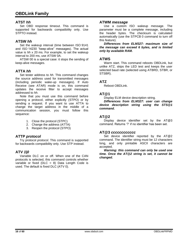#### <span id="page-15-5"></span>**ATST** *hh*

Set OBD response timeout. This command is supported for backwards compatibility only. Use [STPTO](#page-27-0) instead.

## <span id="page-15-8"></span>**ATSW** *hh*

Set the wakeup interval (time between ISO 9141 and ISO 14230 "keep-alive" messages). The actual value is *hh* x 20 ms. For example, to set the wakeup interval to 200 ms, use [ATSW](#page-15-8) 0A.

[ATSW](#page-15-8) 00 is a special case: it stops the sending of keep-alive messages.

#### <span id="page-15-6"></span>**ATTA** *hh*

Set tester address to *hh*. This command changes the source address used for transmitted messages (including periodic wake-up messages). If Auto Receive (see [ATAR\)](#page-9-4) mode is on, this command updates the receive filter to accept messages addressed to *hh*.

Note that you must use this command before opening a protocol, either explicitly [\(STPO\)](#page-27-1) or by sending a request. If you want to use [ATTA](#page-15-6) to change the target address in the middle of a communication session, you must follow this sequence:

- 1. Close the protocol [\(STPC\)](#page-27-2)
- 2. Change the address [\(ATTA\)](#page-15-6)
- 3. Reopen the protocol [\(STPO\)](#page-27-1)

#### <span id="page-15-7"></span>**ATTP** *protocol*

Try protocol *protocol.* This command is supported for backwards compatibility only. Use [STP](#page-26-4) instead.

#### <span id="page-15-10"></span>**ATV** *1|0*

Variable DLC on or off. When one of the CAN protocols is selected, this command controls whether variable or fixed (DLC = 8) Data Length Code is used. The default is fixed DLC [\(ATV](#page-15-10) 0).

## <span id="page-15-9"></span>**ATWM** *message*

Use a custom ISO wakeup message. The parameter must be a complete message, including the header bytes. The checksum is calculated automatically (use the [STPCB](#page-27-6) 0 command to turn off this feature).

*Differences from ELM327: maximum size of the message can exceed 6 bytes, and is limited only by available RAM.*

#### <span id="page-15-0"></span>**ATWS**

Warm start. This command reboots OBDLink, but unlike [ATZ,](#page-15-1) skips the LED test and keeps the user selected baud rate (selected using [ATBRD,](#page-9-1) [STBR,](#page-23-2) or [STSBR\)](#page-24-0).

#### <span id="page-15-1"></span>**ATZ**

Reboot OBDLink.

#### <span id="page-15-2"></span>**AT@1**

Display ELM device description string.

*Differences from ELM327: user can change device description string using the [STS@1](#page-25-2) command.*

#### <span id="page-15-3"></span>**AT@2**

Display device identifier set by the [AT@3](#page-15-4) command. Returns '?' if no identifier has been set.

#### <span id="page-15-4"></span>**AT@3** *cccccccccccc*

Set device identifier reported by the [AT@2](#page-15-3) command. The identifier string must be 12 characters long, and only printable ASCII characters are accepted.

*Warning: this command can only be used one time. Once the [AT@2](#page-15-3) string is set, it cannot be changed.*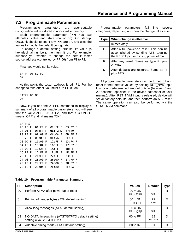# <span id="page-16-0"></span>**7.3 Programmable Parameters**

Programmable parameters are user-settable configuration values stored in non-volatile memory.

Each programmable parameter (PP) has two attributes: value and state (on or off). On startup, OBDLink checks to see if any PPs are on, and uses the values to modify the default configuration.

To change a default setting, first set its value (a hexadecimal number), then turn it on. For example, suppose you wanted to change the default tester source address (controlled by PP 06) from F1 to F2.

First, you would set its value:

>ATPP 06 SV F2 OK

At this point, the tester address is still F1. For the change to take effect, you must turn PP 06 on:

>ATPP 06 ON **OK** 

Now, if you use the [ATPPS](#page-13-6) command to display a summary of all programmable parameters, you will see that the value of PP 06 is 'F2', and that it is ON ('F' means 'OFF' and 'N' means 'ON'):

| <b>&gt;ATPPS</b>     |           |             |             |
|----------------------|-----------|-------------|-------------|
| 00:FF F              | 01:FF F   | 02:FF F     | 03:32 F     |
| 04:01 F              | 05:FF F   | 06:F2 N     | 07:09 F     |
| 08:FF F              | 09:00 F   | 0A:0A F     | 0B:FF F     |
| 0C:23 F              | 0D:0D F   | 0E:5A F     | 0F:FF F     |
| 10:0D F              | 11:00 F   | 12:FF F     | $13:FA$ F   |
| $14:FF$ F            | 15:0A F   | $16$ :FFFF  | 17:92 F     |
| 18:00 F              | $19:28$ F | 1A:FF F     | $1B:FF$ $F$ |
| $1C:FF$ F            | $1D:FF$ F | 1E:FF F     | $1F:FF$ $F$ |
| $20:FF$ F            | $21:FF$ F | $22:FF$ F   | $23:FF$ F   |
| 24:00 F              | 25:00 F   | 26:00 F     | $27:FF$ F   |
| $28:FF$ F            | $29:FF$ F | 2A:00 F     | 2B:02<br>F  |
| 2C: E <sub>0</sub> F | 2D:04 F   | 2E:80<br>-F | $2F:0A$ F   |

**Table 10 – Programmable Parameter Summary**

| <b>PP</b> | <b>Description</b>                                                                     | <b>Values</b>           | <b>Default</b>           | Type |
|-----------|----------------------------------------------------------------------------------------|-------------------------|--------------------------|------|
| 00        | Perform ATMA after power up or reset                                                   | $00 = ON$<br>$FF = OFF$ | FF<br>(OFF)              | R    |
| 01        | Printing of header bytes (ATH default setting)                                         | $00 = ON$<br>$FF = OFF$ | FF<br>(OFF)              | D    |
| 02        | Allow long messages (ATAL default setting)                                             | $00 = ON$<br>$FF = OFF$ | FF<br>(OFF)              | D    |
| 03        | NO DATA timeout time (ATST/STPTO default setting)<br>setting = value $\times$ 4.096 ms | $00$ to FF              | 19<br>$(102 \text{ ms})$ | D    |
| 04        | Adaptive timing mode (ATAT default setting)                                            | 00 to 02                | 01                       | D    |

Programmable parameters fall into several categories, depending on when the change takes effect:

| Type | When change is effective                                                                                                     |
|------|------------------------------------------------------------------------------------------------------------------------------|
|      | Immediately                                                                                                                  |
| Р    | After a full power-on reset. This can be<br>accomplished by sending ATZ, toggling<br>the RESET pin, or cycling power off/on. |
| R    | After any reset. Same as type P, plus<br>ATWS.                                                                               |
| D    | After defaults are restored. Same as R,<br>plus ATD.                                                                         |

All programmable parameters can be turned off and reset to their default values by holding RST\_NVM input low for a predetermined amount of time (between 5 and 20 seconds, specified in the device datasheet or user manual). After RST\_NVM input is released, device will set all factory defaults, and then perform an [ATZ](#page-15-1) reset. The same operation can also be performed via the [STRSTNVM](#page-23-4) command.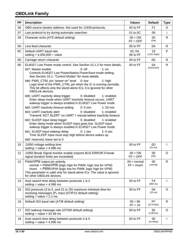# **OBDLink Family**

| <b>PP</b> | <b>Description</b>                                                                                                                                                                                                                                                                                                                                                                                                                                                                                                                                                                                                                                                                                                                                                                                                                                                                                                                                                                                                                                                                                                                                                                                                      | <b>Values</b>                  | <b>Default</b>             | <b>Type</b>  |
|-----------|-------------------------------------------------------------------------------------------------------------------------------------------------------------------------------------------------------------------------------------------------------------------------------------------------------------------------------------------------------------------------------------------------------------------------------------------------------------------------------------------------------------------------------------------------------------------------------------------------------------------------------------------------------------------------------------------------------------------------------------------------------------------------------------------------------------------------------------------------------------------------------------------------------------------------------------------------------------------------------------------------------------------------------------------------------------------------------------------------------------------------------------------------------------------------------------------------------------------------|--------------------------------|----------------------------|--------------|
| 06        | OBD source (tester) address. Not used for J1939 protocols.                                                                                                                                                                                                                                                                                                                                                                                                                                                                                                                                                                                                                                                                                                                                                                                                                                                                                                                                                                                                                                                                                                                                                              | 00 to FF                       | F <sub>1</sub>             | D            |
| 07        | Last protocol to try during automatic searches                                                                                                                                                                                                                                                                                                                                                                                                                                                                                                                                                                                                                                                                                                                                                                                                                                                                                                                                                                                                                                                                                                                                                                          | 01 to 0C                       | 09                         | $\mathbf{I}$ |
| 09        | Character echo (ATE default setting)                                                                                                                                                                                                                                                                                                                                                                                                                                                                                                                                                                                                                                                                                                                                                                                                                                                                                                                                                                                                                                                                                                                                                                                    | $00 = ON$<br>$FF = OFF$        | 00<br>(ON)                 | R            |
| 0A        | Line feed character                                                                                                                                                                                                                                                                                                                                                                                                                                                                                                                                                                                                                                                                                                                                                                                                                                                                                                                                                                                                                                                                                                                                                                                                     | 00 to FF                       | 0A                         | R            |
| 0C        | Default UART baud rate<br>setting = $4,000,000 \div$ value                                                                                                                                                                                                                                                                                                                                                                                                                                                                                                                                                                                                                                                                                                                                                                                                                                                                                                                                                                                                                                                                                                                                                              | 02, 04,<br>06 to FF            | 23<br>(115.2 kbps)         | P            |
| 0D        | Carriage return character                                                                                                                                                                                                                                                                                                                                                                                                                                                                                                                                                                                                                                                                                                                                                                                                                                                                                                                                                                                                                                                                                                                                                                                               | 00 to FF                       | 0D                         | R            |
| 0E        | ELM327 Low Power mode control. See Section 15.1.2 for more details.<br>$0:$ off<br>bit7: Master enable<br>1: on<br>Controls ELM327 Low Power/Native PowerSave mode setting.<br>See Section 15.1, "Control Modes" for more details.<br>bit6: PWR_CTRL pin "power on" level 0: low<br>$1:$ high<br>Logic level of the PWR_CTRL pin when the IC is running normally.<br>This bit affects only the stand-alone ICs; it is ignored for other<br><b>OBDLink devices.</b><br>bit5: UART inactivity sleep trigger<br>0: disabled<br>1: enabled<br>Enter sleep mode when UART inactivity timeout occurs. UART<br>wakeup trigger is always enabled in ELM327 Low Power mode.<br>bit4: UART inactivity timeout setting<br>$0:5$ min<br>$1:20$ min<br>0: disabled<br>bit3: UART inactivity alert<br>1: enabled<br>Transmit 'ACT ALERT' on UART 1 minute before inactivity timeout<br>bit2: SLEEP input sleep trigger<br>0: disabled<br>1: enabled<br>Enter sleep mode when SLEEP input goes low. SLEEP input<br>wakeup trigger is always enabled in ELM327 Low Power mode.<br>bit1: SLEEP input wakeup delay<br>$0:1$ sec<br>$1:5$ sec<br>Time SLEEP input must stay high before device wakes up.<br>bit0: reserved, leave set to 0 | 00 to FF                       | 5A<br>(01011010)           | $\mathsf{R}$ |
| 10        | J1850 voltage settling time<br>setting = value $\times$ 4.096 ms                                                                                                                                                                                                                                                                                                                                                                                                                                                                                                                                                                                                                                                                                                                                                                                                                                                                                                                                                                                                                                                                                                                                                        | 00 to FF                       | 0D<br>(53 ms)              |              |
| 11        | J1850 Break Signal monitor enable (reports BUS ERROR if break<br>signal duration limits are exceeded)                                                                                                                                                                                                                                                                                                                                                                                                                                                                                                                                                                                                                                                                                                                                                                                                                                                                                                                                                                                                                                                                                                                   | $00 = ON$<br>$FF = OFF$        | 00<br>(ON)                 | D            |
| 12        | PWM/VPW output pin polarity<br>normal = PWM/VPW (logic high for PWM, logic low for VPW)<br>$\text{invert}$ = PWM/VPW (logic low for PWM, logic high for VPW)<br>This parameter is valid only for stand-alone ICs. The value is ignored<br>for other OBDLink devices.                                                                                                                                                                                                                                                                                                                                                                                                                                                                                                                                                                                                                                                                                                                                                                                                                                                                                                                                                    | $00 = normal$<br>$FF = invert$ | 00<br>(normal)             | R.           |
| 13        | Auto search time delay between protocols 1 & 2<br>setting = value $\times$ 4.096 ms                                                                                                                                                                                                                                                                                                                                                                                                                                                                                                                                                                                                                                                                                                                                                                                                                                                                                                                                                                                                                                                                                                                                     | 00 to FF                       | F4<br>$(999 \, \text{ms})$ |              |
| 15        | ISO protocols (3 to 5, and 21 to 25) maximum interbyte time for<br>receiving messages (P <sub>1</sub> max) (STIP1X default setting)<br>setting = value $\times$ 2.2 ms                                                                                                                                                                                                                                                                                                                                                                                                                                                                                                                                                                                                                                                                                                                                                                                                                                                                                                                                                                                                                                                  | 00 to FF                       | 0A<br>$(22 \text{ ms})$    | D            |
| 16        | Default ISO baud rate (ATIB default setting)                                                                                                                                                                                                                                                                                                                                                                                                                                                                                                                                                                                                                                                                                                                                                                                                                                                                                                                                                                                                                                                                                                                                                                            | $00 = 96$<br>$FF = 10$         | FF<br>$(10.4$ kbps)        | R            |
| 17        | ISO wakeup message rate (ATSW default setting)<br>setting = value $\times$ 20.48 ms                                                                                                                                                                                                                                                                                                                                                                                                                                                                                                                                                                                                                                                                                                                                                                                                                                                                                                                                                                                                                                                                                                                                     | 00 to FF                       | 92<br>(2.99 sec)           | D            |
| 18        | Auto search time delay between protocols 4 & 5<br>setting = value $\times$ 4.096 ms                                                                                                                                                                                                                                                                                                                                                                                                                                                                                                                                                                                                                                                                                                                                                                                                                                                                                                                                                                                                                                                                                                                                     | 00 to FF                       | 00<br>(no delay)           | L            |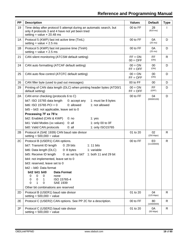| <b>PP</b> | <b>Description</b>                                                                                                                                                                                                                                                                                                                                                                                                                                                                                  | <b>Values</b>           | <b>Default</b>               | <b>Type</b>  |
|-----------|-----------------------------------------------------------------------------------------------------------------------------------------------------------------------------------------------------------------------------------------------------------------------------------------------------------------------------------------------------------------------------------------------------------------------------------------------------------------------------------------------------|-------------------------|------------------------------|--------------|
| 19        | Time delay after protocol 5 attempt during an automatic search, but<br>only if protocols 3 and 4 have not yet been tried<br>setting = value $\times$ 20.48 ms                                                                                                                                                                                                                                                                                                                                       | 00 to FF                | 28<br>$(819 \, \text{ms})$   | L            |
| 1A        | Protocol 5 (KWP) fast init active time (TiniL)<br>setting = value $\times$ 2.5 ms                                                                                                                                                                                                                                                                                                                                                                                                                   | 00 to FF                | 0A<br>(25 ms)                | D            |
| 1B        | Protocol 5 (KWP) fast init passive time (TiniH)<br>setting = value $\times$ 2.5 ms                                                                                                                                                                                                                                                                                                                                                                                                                  | 00 to FF                | 0A<br>(25 ms)                | D            |
| 21        | CAN silent monitoring (ATCSM default setting)                                                                                                                                                                                                                                                                                                                                                                                                                                                       | $FF = ON$<br>$00 = OFF$ | FF.<br>(ON)                  | R            |
| 24        | CAN auto formatting (ATCAF default setting)                                                                                                                                                                                                                                                                                                                                                                                                                                                         | $00 = ON$<br>$FF = OFF$ | 00<br>(ON)                   | D            |
| 25        | CAN auto flow control (ATCFC default setting)                                                                                                                                                                                                                                                                                                                                                                                                                                                       | $00 = ON$<br>$FF = OFF$ | 00<br>(ON)                   | D            |
| 26        | CAN filler byte (used to pad out messages)                                                                                                                                                                                                                                                                                                                                                                                                                                                          | 00 to FF                | 00                           | D            |
| 29        | Printing of CAN data length (DLC) when printing header bytes (ATD0/1<br>default setting)                                                                                                                                                                                                                                                                                                                                                                                                            | $00 = ON$<br>$FF = OFF$ | FF.<br>(OFF)                 | D            |
| 2A        | CAN error checking (protocols 6 to C)<br>bit7: ISO 15765 data length<br>0: accept any<br>1: must be 8 bytes<br>0: allowed<br>1: not allowed<br>bit6: ISO 15765 PCI = $0$<br>bit5 - bit3: not applicable, leave set to 0<br>Processing 7F xx 78's:<br>bit2: Enabled (CAN & KWP)<br>0:no<br>1: yes<br>bit1: Valid Modes (xx values)<br>1: only 00 to 0F<br>0:all<br>1: only ISO15765<br>bit0: Valid CAN protocols<br>0:all                                                                            | 00 to FF                | 04<br>(00000100)             | D            |
| 2B        | Protocol A (SAE 1939) CAN baud rate divisor<br>setting = $500,000 \div \text{value}$                                                                                                                                                                                                                                                                                                                                                                                                                | 01 to 20                | 02<br>(250 kbps)             | R            |
| 2C        | Protocol B (USER1) CAN options.<br>bit7: Transmit ID length<br>1: 11 bits<br>0: 29 bits<br>bit6: Data length (DLC)<br>$0:8$ bytes<br>1: variable<br>bit5: Receive ID length<br>0: as set by bit7 1: both 11 and 29 bit<br>bit4: not implemented, leave set to 0<br>bit3: reserved, leave set to 0<br>bit2 - bit0: Data format<br>bit2 bit1 bit0<br><b>Data Format</b><br>0<br>0<br>0<br>none<br>ISO 15765-4<br>0<br>0<br>1<br>0<br>1<br>0<br><b>SAE 1939</b><br>Other bit combinations are reserved | 00 to FF                | E <sub>0</sub><br>(11100000) | $\mathsf{R}$ |
| 2D        | Protocol B (USER1) baud rate divisor<br>setting = $500,000 \div \text{value}$                                                                                                                                                                                                                                                                                                                                                                                                                       | 01 to 20                | 04<br>(125 kbps)             | R            |
| 2E        | Protocol C (USER2) CAN options. See PP 2C for a description.                                                                                                                                                                                                                                                                                                                                                                                                                                        | 00 to FF                | 80<br>(10000000)             | $\mathsf{R}$ |
| 2F        | Protocol C (USER2) baud rate divisor<br>setting = $500,000 \div \text{value}$                                                                                                                                                                                                                                                                                                                                                                                                                       | 01 to 20                | 0A<br>(50 kbps)              | $\mathsf{R}$ |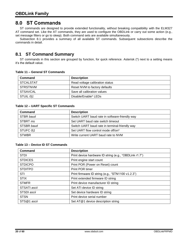# <span id="page-19-0"></span>**8.0 ST Commands**

ST commands are designed to provide extended functionality, without breaking compatibility with the ELM327 AT command set. Like the AT commands, they are used to configure the OBDLink or carry out some action (e.g., set message filters or go to sleep). Both command sets are available simultaneously.

<span id="page-19-1"></span>Subsection [8.1](#page-19-1) provides a summary of all available ST commands. Subsequent subsections describe the commands in detail.

# **8.1 ST Command Summary**

ST commands in this section are grouped by function, for quick reference. Asterisk (\*) next to a setting means it's the default value.

#### **Table 11 – General ST Commands**

| Command   | <b>Description</b>              |
|-----------|---------------------------------|
| STCALSTAT | Read voltage calibration status |
| STRSTNVM  | Reset NVM to factory defaults   |
| STSAVCAL  | Save all calibration values     |
| STUIL 011 | Disable/Enable* LEDs            |

#### **Table 12 – UART Specific ST Commands**

| Command         | <b>Description</b>                             |
|-----------------|------------------------------------------------|
| STBR baud       | Switch UART baud rate in software-friendly way |
| STBRT <i>ms</i> | Set UART baud rate switch timeout              |
| STSBR baud      | Switch UART baud rate in terminal-friendly way |
| STUFC 011       | Set UART flow control mode off/on*             |
| <b>STWBR</b>    | Write current UART baud rate to NVM            |

### **Table 13 – Device ID ST Commands**

| Command        | <b>Description</b>                                     |
|----------------|--------------------------------------------------------|
| <b>STDI</b>    | Print device hardware ID string (e.g., "OBDLink r1.7") |
| <b>STDICES</b> | Print engine start count                               |
| <b>STDICPO</b> | Print POR (Power on Reset) count                       |
| <b>STDITPO</b> | Print POR timer                                        |
| STI            | Print firmware ID string (e.g., "STN1100 v1.2.3")      |
| <b>STIX</b>    | Print extended firmware ID string                      |
| <b>STMFR</b>   | Print device manufacturer ID string                    |
| STSATI ascii   | Set ATI device ID string                               |
| STSDI ascii    | Set device hardware ID string                          |
| <b>STSN</b>    | Print device serial number                             |
| STS@1 ascii    | Set AT@1 device description string                     |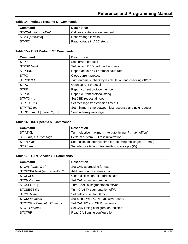| Command                   | <b>Description</b>            |
|---------------------------|-------------------------------|
| STVCAL [volts [, offset]] | Calibrate voltage measurement |
| STVR [precision]          | Read voltage in volts         |
| <b>STVRX</b>              | Read voltage in ADC steps     |

# **Table 14 – Voltage Reading ST Commands**

# **Table 15 – OBD Protocol ST Commands**

| Command                  | <b>Description</b>                                         |
|--------------------------|------------------------------------------------------------|
| STP $p$                  | Set current protocol                                       |
| STPBR baud               | Set current OBD protocol baud rate                         |
| <b>STPBRR</b>            | Report actual OBD protocol baud rate                       |
| <b>STPC</b>              | Close current protocol                                     |
| STPCB 011                | Turn automatic check byte calculation and checking off/on* |
| <b>STPO</b>              | Open current protocol                                      |
| <b>STPR</b>              | Report current protocol number                             |
| <b>STPRS</b>             | Report current protocol string                             |
| STPTO ms                 | Set OBD request timeout                                    |
| STPTOT ms                | Set message transmission timeout                           |
| STPTRQ ms                | Set minimum time between last response and next request    |
| STPX param1 [, param2, ] | Send arbitrary message                                     |

#### **Table 16 – ISO Specific ST Commands**

| Command               | <b>Description</b>                                                    |
|-----------------------|-----------------------------------------------------------------------|
| STIAT 011             | Turn adaptive maximum interbyte timing ( $P_1$ max) off/on*           |
| STIFI ms, ms, message | Perform custom ISO fast initialization                                |
| STIP1X ms             | Set maximum interbyte time for receiving messages $(P_1 \text{ max})$ |
| STIP4 ms              | Set interbyte time for transmitting messages $(P_4)$                  |

## **Table 17 – CAN Specific ST Commands**

| Command                        | <b>Description</b>                     |
|--------------------------------|----------------------------------------|
| STCAF format [, tt]            | Set CAN addressing format              |
| STCFCPA txadd[ext], rxadd[ext] | Add flow control address pair          |
| <b>STCFCPC</b>                 | Clear all flow control address pairs   |
| STCMM mode                     | Set CAN monitoring mode                |
| STCSEGR 011                    | Turn CAN Rx segmentation off*/on       |
| STCSEGT 011                    | Turn CAN Tx segmentation off*/on       |
| STCSTM ms                      | Set delay offset for STmin             |
| STCSWM mode                    | Set Single Wire CAN transceiver mode   |
| STCTOR fcTimeout, cfTimeout    | Set CAN FC and CF Rx timeouts          |
| <b>STCTR hhhhhh</b>            | Set CAN timing configuration registers |
| <b>STCTRR</b>                  | Read CAN timing configuration          |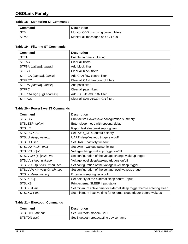# **OBDLink Family**

## **Table 18 – Monitoring ST Commands**

| Command     | <b>Description</b>                    |
|-------------|---------------------------------------|
| <b>STM</b>  | Monitor OBD bus using current filters |
| <b>STMA</b> | Monitor all messages on OBD bus       |

# **Table 19 – Filtering ST Commands**

| Command                    | <b>Description</b>                 |
|----------------------------|------------------------------------|
| <b>STFA</b>                | Enable automatic filtering         |
| <b>STFAC</b>               | Clear all filters                  |
| STFBA [pattern], [mask]    | Add block filter                   |
| <b>STFBC</b>               | Clear all block filters            |
| STFFCA [pattern], [mask]   | Add CAN flow control filter        |
| <b>STFFCC</b>              | Clear all CAN flow control filters |
| STFPA [pattern], [mask]    | Add pass filter                    |
| <b>STFPC</b>               | Clear all pass filters             |
| STFPGA pgn [, tgt address] | Add SAE J1939 PGN filter           |
| <b>STFPGC</b>              | Clear all SAE J1939 PGN filters    |

## **Table 20 – PowerSave ST Commands**

| Command                       | <b>Description</b>                                                       |
|-------------------------------|--------------------------------------------------------------------------|
| <b>STSLCS</b>                 | Print active PowerSave configuration summary                             |
| STSLEEP [delay]               | Enter sleep mode with optional delay                                     |
| <b>STSLLT</b>                 | Report last sleep/wakeup triggers                                        |
| STSLPCP 011                   | Set PWR_CTRL output polarity                                             |
| STSLU sleep, wakeup           | UART sleep/wakeup triggers on/off                                        |
| STSLUIT sec                   | Set UART inactivity timeout                                              |
| STSLUWP min, max              | Set UART wakeup pulse timing                                             |
| STSLVG on  off                | Voltage change wakeup trigger on/off                                     |
| STSLVGW [+ -]volts, ms        | Set configuration of the voltage change wakeup trigger                   |
| STSLVL sleep, wakeup          | Voltage level sleep/wakeup triggers on/off                               |
| STSLVLS < > volts 0xhhh, sec  | Set configuration of the voltage level sleep trigger                     |
| STSLVLW <  > volts 0xhhh, sec | Set configuration of the voltage level wakeup trigger                    |
| STSLX sleep, wakeup           | External sleep trigger on/off                                            |
| STSLXP 011                    | Set polarity of the external sleep control input                         |
| <b>STSLXS</b>                 | Print external SLEEP input status                                        |
| STSLXST ms                    | Set minimum active time for external sleep trigger before entering sleep |
| STSLXWT ms                    | Set minimum inactive time for external sleep trigger before wakeup       |

#### **Table 21 – Bluetooth Commands**

| Command        | <b>Description</b>                     |
|----------------|----------------------------------------|
| STBTCOD hhhhhh | Set Bluetooth modem CoD                |
| STBTDN ascii   | Set Bluetooth broadcasting device name |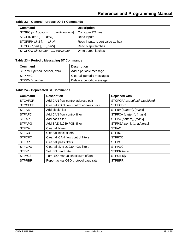| <b>Command</b>                        | <b>Description</b>               |
|---------------------------------------|----------------------------------|
| STGPC pin1:options [, , pinN:options] | Configure I/O pins               |
| STGPIR pin1 [, , pinN]                | Read inputs                      |
| STGPIRH pin1 [, , pinM                | Read inputs, report value as hex |
| STGPOR pin1 [, , pinN]                | Read output latches              |
| STGPOW pin1:state [, , pinN:state]    | Write output latches             |

# **Table 22 – General Purpose I/O ST Commands**

# **Table 23 – Periodic Messaging ST Commands**

| Command                     | <b>Description</b>          |
|-----------------------------|-----------------------------|
| STPPMA period, header, data | Add a periodic message      |
| STPPMC                      | Clear all periodic messages |
| STPPMD handle               | Delete a periodic message   |

#### **Table 24 – Deprecated ST Commands**

| Command        | <b>Description</b>                       | <b>Replaced with</b>           |
|----------------|------------------------------------------|--------------------------------|
| <b>STCAFCP</b> | Add CAN flow control address pair        | STCFCPA txadd[ext], rxadd[ext] |
| <b>STCCFCP</b> | Clear all CAN flow control address pairs | <b>STCFCPC</b>                 |
| <b>STFAB</b>   | Add block filter                         | STFBA [pattern], [mask]        |
| <b>STFAFC</b>  | Add CAN flow control filter              | STFFCA [pattern], [mask]       |
| <b>STFAP</b>   | Add pass filter                          | STFPA [pattern], [mask]        |
| <b>STFAPG</b>  | Add SAE J1939 PGN filter                 | STFPGA pgn [, tgt address]     |
| <b>STFCA</b>   | Clear all filters                        | <b>STFAC</b>                   |
| <b>STFCB</b>   | Clear all block filters                  | <b>STFBC</b>                   |
| <b>STFCFC</b>  | Clear all CAN flow control filters       | <b>STFFCC</b>                  |
| <b>STFCP</b>   | Clear all pass filters                   | <b>STFPC</b>                   |
| <b>STFCPG</b>  | Clear all SAE J1939 PGN filters          | <b>STFPGC</b>                  |
| <b>STIBR</b>   | Set ISO baud rate                        | STPBR baud                     |
| <b>STIMCS</b>  | Turn ISO manual checksum off/on          | STPCB 011                      |
| <b>STPRBR</b>  | Report actual OBD protocol baud rate     | <b>STPBRR</b>                  |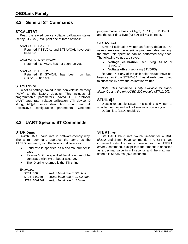# <span id="page-23-0"></span>**8.2 General ST Commands**

## <span id="page-23-5"></span>**STCALSTAT**

Read the saved device voltage calibration status (set by [STVCAL\)](#page-26-2). Will print one of three options:

ANALOG IN: SAVED

Returned if [STVCAL](#page-26-2) and [STSAVCAL](#page-23-6) have both been run.

ANALOG IN: NOT READY Returned if [STVCAL](#page-26-2) has not been run yet.

ANALOG IN: READY

Returned if [STVCAL](#page-26-2) has been run but [STSVCAL](#page-23-6) has not.

#### <span id="page-23-4"></span>**STRSTNVM**

Reset all settings saved in the non-volatile memory (NVM) to the factory defaults. This includes all programmable parameters, saved OBD protocol, UART baud rate, voltage calibration, [ATI](#page-12-0) device ID string, [AT@1](#page-15-2) device description string, and all PowerSave configuration parameters. One-time

# <span id="page-23-1"></span>**8.3 UART Specific ST Commands**

#### <span id="page-23-2"></span>**STBR** *baud*

Switch UART baud rate in software-friendly way. The [STBR](#page-23-2) command operates the same as the [ATBRD](#page-9-1) command, with the following differences:

- Baud rate is specified as a decimal number in baud
- Returns '?' if the specified baud rate cannot be generated with 3% or better accuracy
- The ID string returned is the [STI](#page-25-7) string

#### *Examples:*

<span id="page-23-3"></span>

| STBR 300     | switch baud rate to 300 bps    |
|--------------|--------------------------------|
| STBR 115200  | switch baud rate to 115.2 kbps |
| STBR 2000000 | switch baud rate to 2 Mbps     |

programmable values [\(AT@3,](#page-15-4) [STSDI,](#page-25-10) [STSAVCAL\)](#page-23-6) and the user data byte (ATSD) will *not* be reset.

#### <span id="page-23-6"></span>**STSAVCAL**

Save all calibration values as factory defaults. The values are saved in one-time programmable memory; therefore, this operation can be performed only once. The following values are saved:

- **Voltage calibration** (set using [ATCV](#page-11-3) or [STVCAL\)](#page-26-2)
- **Voltage offset** (set using STVOFS)

Returns '?' if any of the calibration values have not been set, or if the [STSAVCAL](#page-23-6) has already been used to successfully save the calibration values.

*Note: This command is only available for standalone ICs and the microOBD 200 module (STN1120).*

#### <span id="page-23-7"></span>**STUIL** *0***|***1*

Disable or enable LEDs. This setting is written to volatile memory and will not survive a power cycle. Default is 1 (LEDs enabled).

## <span id="page-23-8"></span>**STBRT** *ms*

Set UART baud rate switch timeout for [ATBRD](#page-9-1)  *[divisor](#page-9-1)* and [STBR](#page-23-2) *baud* commands. The [STBRT](#page-23-8) *ms* command sets the same timeout as the [ATBRT](#page-9-2)  *[timeout](#page-9-2)* command, except that the timeout is specified as a decimal value in milliseconds and the maximum timeout is 65535 ms (65.5 seconds).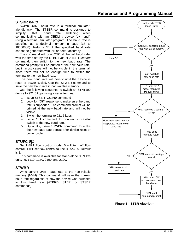## <span id="page-24-0"></span>**STSBR** *baud*

Switch UART baud rate in a terminal emulatorfriendly way. The [STSBR](#page-24-0) command is designed to simplify UART baud rate switching when communicating with an OBDLink device "by hand", using a terminal emulator program. The baud rate is specified as a decimal number in baud (38 to 10000000). Returns '?' if the specified baud rate cannot be generated with 3% or better accuracy.

The command will print "OK" at the old baud rate, wait the time set by the [STBRT](#page-23-8) *ms* or [ATBRT](#page-9-2) *timeout* command, then switch to the new baud rate. The command prompt will be printed at the new baud rate, but in most cases will not be visible in the terminal, since there will not be enough time to switch the terminal to the new baud rate.

The new baud rate will persist until the device is reset or power cycled. Use the [STWBR](#page-24-2) command to save the new baud rate in non-volatile memory.

Use the following sequence to switch an STN1100 device to 921.6 kbps using a serial terminal:

- 1. Issue STSBR 921600 command
- 2. Look for "OK" response to make sure the baud rate is supported. The command prompt will be printed at the new baud rate and will not be visible.
- 3. Switch the terminal to 921.6 kbps
- 4. Issue [STI](#page-25-7) command to confirm successful switch to the new baud rate.
- 5. Optionally, issue [STWBR](#page-24-2) command to make the new baud rate persist after device reset or power cycle.

# <span id="page-24-1"></span>**STUFC** *0***|***1*

Set UART flow control mode. 0 will turn off flow control, 1 will set flow control to use RTS/CTS. Default is 1.

This command is available for stand-alone STN ICs only, i.e. 1110, 1170, 2100, and 2120.

# <span id="page-24-2"></span>**STWBR**

Write current UART baud rate to the non-volatile memory (NVM). This command will save the current baud rate regardless of how the device was switched to this baud rate [\(ATBRD,](#page-9-1) [STBR,](#page-23-2) or [STSBR](#page-24-0) commands).



**Figure 1 – STBR Algorithm**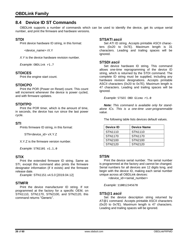# <span id="page-25-0"></span>**8.4 Device ID ST Commands**

OBDLink supports a number of commands which can be used to identify the device, get its unique serial number, and print the firmware and hardware versions.

# <span id="page-25-3"></span>**STDI**

Print device hardware ID string, in this format:

<device\_name> rX.Y

*X.Y* is the device hardware revision number.

*Example:* OBDLink r1.7

## <span id="page-25-4"></span>**STDICES**

Print the engine start count.

#### <span id="page-25-5"></span>**STDICPO**

Print the POR (Power on Reset) count. This count will increment whenever the device is power cycled, and with firmware updates.

## <span id="page-25-6"></span>**STDITPO**

Print the POR timer, which is the amount of time, in seconds, the device has run since the last power cycle.

#### <span id="page-25-7"></span>**STI**

Prints firmware ID string, in this format:

STN<device\_id> vX.Y.Z

X.Y.Z is the firmware version number.

*Example:* STN1101 v1.1.0

#### <span id="page-25-8"></span>**STIX**

Print the extended firmware ID string. Same as [STI,](#page-25-7) except this command also prints the firmware designator information (if it exists) and the firmware release date.

*Example:* STN1151 v4.5.0 [2019.04.12]

#### <span id="page-25-9"></span>**STMFR**

Print the device manufacturer ID string. If not programmed at the factory for a specific OEM, on STN1110, STN1170, STN2100, and STN2120, this command returns "Generic".

## <span id="page-25-12"></span><span id="page-25-1"></span>**STSATI** *ascii*

Set [ATI](#page-12-0) ID string. Accepts printable ASCII characters (0x20 to 0x7E). Maximum length is 31 characters. Leading and trailing spaces will be ignored.

#### <span id="page-25-10"></span>**STSDI** *ascii*

Set device hardware ID string. This command allows one-time reprogramming of the device ID string, which is returned by the [STDI](#page-25-12) command. The complete ID string must be supplied, including any hardware revision designations. Accepts printable ASCII characters (0x20 to 0x7E). Maximum length is 47 characters. Leading and trailing spaces will be ignored.

*Example:* STSDI OBD Gizmo r1.0

*Note: This command is available only for standalone ICs. This is a one-time user-programmable value.*

The following table lists devices default values.

| Device ID           | <b>Device Name</b>  |
|---------------------|---------------------|
| STN <sub>1110</sub> | STN1110             |
| STN <sub>1170</sub> | STN <sub>1170</sub> |
| STN2100             | STN2100             |
| STN2120             | STN2120             |

#### <span id="page-25-11"></span>**STSN**

Print the device serial number. The serial number is programmed at the factory and cannot be changed. Serial numbers for all devices are 12 digits long, and begin with the device ID, making each serial number unique across all OBDLink devices:

<device\_id><serial\_number>

*Example:* 110012345678

#### <span id="page-25-2"></span>**STS@1** *ascii*

Set the device description string returned by [AT@1](#page-15-2) command. Accepts printable ASCII characters (0x20 to 0x7E). Maximum length is 47 characters. Leading and trailing spaces will be ignored.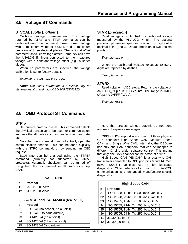# <span id="page-26-0"></span>**8.5 Voltage ST Commands**

## <span id="page-26-2"></span>**STVCAL [***volts* **[***, offset***]]**

Calibrate voltage measurement. The voltage returned by [ATRV](#page-14-1) and [STVR](#page-26-3) commands can be calibrated using this command. Takes current voltage with a maximum value of 65.534, and a maximum precision of three decimal places. The optional *offset* parameter specifies voltage offset. Some devices have the ANALOG\_IN input connected to the measured voltage with a constant voltage offset (e.g.: a series diode).

When no parameters are specified, the voltage calibration is set to factory defaults.

*Example:* STVCAL 12.345, 0.67

<span id="page-26-3"></span>*Note: The offset parameter is available only for stand-alone ICs, and microOBD 200 (STN1120).*

## <span id="page-26-5"></span>**STVR [***precision***]**

Read voltage in volts. Returns calibrated voltage measured by the ANALOG\_IN pin. The optional *precision* parameter specifies precision in digits after decimal point (0 to 3). Default precision is two decimal points.

*Example:* 12.34

When the calibrated voltage exceeds 65.534V, digits are replaced by dashes.

*Example:* --.--

#### <span id="page-26-6"></span>**STVRX**

Read voltage in ADC steps. Returns the voltage on ANALOG\_IN pin in ADC counts. The range is 0x000 (AVSS) to 0xFFF (AVDD).

*Example:* 0x567

# <span id="page-26-1"></span>**8.6 OBD Protocol ST Commands**

#### <span id="page-26-4"></span>**STP** *p*

Set current protocol preset. This command selects the physical transceiver to be used for communication, and sets the attributes such as header size, baud rate, etc.

Note that this command does not actually open the communication channel. This can be done explicitly with the [STPO](#page-27-1) command, or by sending an OBD request.

Baud rate can be changed using the [STPBR](#page-27-5) command (currently not supported by J1850 protocols). Automatic checksum can be turned off using the [STPCB](#page-27-6) command for all protocols except CAN.

| <b>SAE J1850</b> |                      |  |
|------------------|----------------------|--|
|                  | <b>Protocol</b>      |  |
| 11               | <b>SAE J1850 PWM</b> |  |
| 12 <sup>7</sup>  | SAE J1850 VPW        |  |
|                  |                      |  |

|    | ISO 9141 and ISO 14230-4 (KWP2000) |  |  |
|----|------------------------------------|--|--|
| p  | <b>Protocol</b>                    |  |  |
| 21 | ISO 9141 (no header, no autoinit)  |  |  |
| 22 | ISO 9141-2 (5 baud autoinit)       |  |  |
| 23 | ISO 14230-4 (no autoinit)          |  |  |
| 24 | ISO 14230-4 (5 baud autoinit)      |  |  |
| 25 | ISO 14230-4 (fast autoinit)        |  |  |

Note that presets without autoinit do not send automatic keep-alive messages.

OBDLink ICs support a maximum of three physical CAN channels: High Speed CAN, Medium Speed CAN, and Single Wire CAN. Internally, the OBDLink has only one CAN peripheral that can be mapped to different IC pins under software control. This means that only one CAN channel can be active at a time.

High Speed CAN (HS-CAN) is a dual-wire CAN transceiver connected to OBD port pins 6 and 14. Most newer (2008+) vehicles use it for legislated diagnostics. Older vehicles often use it for inter-ECU communication and enhanced manufacturer-specific diagnostics.

| <b>High Speed CAN</b> |                                        |  |  |
|-----------------------|----------------------------------------|--|--|
| p                     | <b>Protocol</b>                        |  |  |
| 31                    | ISO 11898, 11-bit Tx, 500kbps, var DLC |  |  |
| 32                    | ISO 11898, 29-bit Tx, 500kbps, var DLC |  |  |
| 33                    | ISO 15765, 11-bit Tx, 500kbps, DLC=8   |  |  |
| 34                    | ISO 15765, 29-bit Tx, 500kbps, DLC=8   |  |  |
| 35                    | ISO 15765, 11-bit Tx, 250kbps, DLC=8   |  |  |
| 36                    | ISO 15765, 29-bit Tx, 250kbps, DLC=8   |  |  |
| 41                    | J1939 (11-bit Tx)                      |  |  |
| 42                    | J1939 (29-bit Tx)                      |  |  |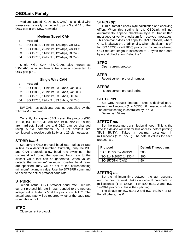# **OBDLink Family**

Medium Speed CAN (MS-CAN) is a dual-wire transceiver typically connected to pins 3 and 11 of the OBD port (Ford MSC network).

| <b>Medium Speed CAN</b> |                                        |  |
|-------------------------|----------------------------------------|--|
| p                       | <b>Protocol</b>                        |  |
| 51                      | ISO 11898, 11-bit Tx, 125kbps, var DLC |  |
| 52                      | ISO 11898, 29-bit Tx, 125kbps, var DLC |  |
| 53                      | ISO 15765, 11-bit Tx, 125kbps, DLC=8   |  |
| 54                      | ISO 15765, 29-bit Tx, 125kbps, DLC=8   |  |

Single Wire CAN (SW-CAN), also known as "GMLAN", is a single-wire transceiver connected to OBD port pin 1.

| <b>Single Wire CAN</b> |                                         |  |
|------------------------|-----------------------------------------|--|
| D                      | Protocol                                |  |
| 61                     | ISO 11898, 11-bit Tx, 33.3kbps, var DLC |  |
| 62                     | ISO 11898, 29-bit Tx, 33.3kbps, var DLC |  |
| 63                     | ISO 15765, 11-bit Tx, 33.3kbps, DLC=8   |  |
| 64                     | ISO 15765, 29-bit Tx, 33.3kbps, DLC=8   |  |

SW-CAN has additional settings controlled by the [STCSWM](#page-30-8) command.

Currently, for a given CAN preset, the protocol (ISO 11898, ISO 15765, J1939) and Tx ID size (11/29 bit) are hard-set. Baud rate and DLC can be changed using AT/ST commands. All CAN presets are configured to receive both 11-bit and 29-bit messages.

#### <span id="page-27-5"></span>**STPBR** *baud*

Set current OBD protocol baud rate. Takes bit rate in bps as a decimal number. Currently, only the ISO and CAN protocols allow baud rate switching. The command will round the specified baud rate to the closest value that can be generated. When values outside the minimum/maximum possible baud rates are specified, they will be set to the corresponding minimum/maximum value. Use the [STPBRR](#page-27-7) command to check the actual protocol baud rate.

#### <span id="page-27-7"></span>**STPBRR**

Report actual OBD protocol baud rate. Returns current protocol bit rate in bps rounded to the nearest integer value. Returns '?' if the protocol is AUTO. The actual baud rate will be reported whether the baud rate is variable or not.

# <span id="page-27-2"></span>**STPC**

Close current protocol.

#### <span id="page-27-6"></span>**STPCB** *0***|***1*

Turn automatic check byte calculation and checking off/on. When this setting is off, OBDLink will not automatically append checksum byte for transmitted messages or verify checksum for received messages. This command does not apply to CAN protocols, where CRC is always on. Additionally, when checksum is off for ISO 14230 (KWP2000) protocols, minimum allowed OBD request length is increased to 2 bytes (one data byte and checksum). Default is 1.

#### <span id="page-27-1"></span>**STPO**

Open current protocol.

#### <span id="page-27-4"></span>**STPR**

Report current protocol number.

#### <span id="page-27-3"></span>**STPRS**

Report current protocol string.

## <span id="page-27-0"></span>**STPTO** *ms*

Set OBD request timeout. Takes a decimal parameter in milliseconds (1 to 65535). 0: timeout is infinite. The default setting is controlled by PP 03.

Default is 102 ms.

#### <span id="page-27-8"></span>**STPTOT** *ms*

Set the message transmission timeout. This is the time the device will wait for bus access, before printing "BUS BUSY". Takes a decimal parameter in milliseconds (1 to 65535). The default values for each protocol are:

| <b>Protocol</b>        | <b>Default Timeout, ms</b> |
|------------------------|----------------------------|
| SAE J1850 PWM/VPW      | 300                        |
| ISO 9141-2/ISO 14230-4 | 300                        |
| ISO 15765-4 (CAN)      | 50                         |

#### <span id="page-27-9"></span>**STPTRQ** *ms*

Set the minimum time between the last response and the next request. Takes a decimal parameter in milliseconds (1 to 65535). For ISO 9141-2 and ISO 14230-4 protocols, this is the *P<sup>3</sup>* timing.

<span id="page-27-10"></span>The default for ISO 9141-2 and ISO 14230-4 is 56. For all others, it is 0.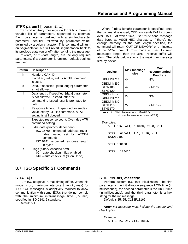# **STPX param1 [, param2, …]**

Transmit arbitrary message on OBD bus. Takes a variable list of parameters, separated by commas. Each parameter is prefixed with a single-character parameter identifier, followed by parameter value, delimited by a colon character. This command will turn on segmentation but will revert segmentation back to its previous state (on or off) after sending the message.

'd' (data) or 'l' (data length) are the only required parameters. If a parameter is omitted, default settings are used.

| Param      | <b>Description</b>                                                                                                                                                |  |
|------------|-------------------------------------------------------------------------------------------------------------------------------------------------------------------|--|
| h          | Header / CAN ID.<br>If omitted, value, set by ATSH command<br>is used.                                                                                            |  |
| d          | Data. If specified, [data length] parameter<br>is not allowed.                                                                                                    |  |
| I          | Data length. If specified, [data] parameter<br>is not allowed. Instead, after the<br>command is issued, user is prompted for<br>data.                             |  |
| $\ddagger$ | Response timeout. If specified, overrides<br>value, set by STPTO command. ATAT<br>setting is still obeyed.                                                        |  |
| r          | Expected response count. Overrides ATR<br>command setting.                                                                                                        |  |
| X          | Extra data (protocol dependent):<br>ISO 15765: extended address (over-<br>rides value, set by ATCEA<br>command)<br>ISO 9141: expected response length<br>in bytes |  |
| f          | Flags (binary-encoded hex)<br>b0 - auto checksum flag enabled<br>$b16 - a$ uto checksum (0: on, 1: off)                                                           |  |

# <span id="page-28-0"></span>**8.7 ISO Specific ST Commands**

# <span id="page-28-1"></span>**STIAT** *0***|***1*

Turn ISO adaptive  $P_1$  max timing off/on. When this mode is on, maximum interbyte time  $(P_1$  max) for ISO 9141 messages is adaptively reduced to allow communication with some ECUs that do not comply with the minimum inter-message time  $(P_2 \text{ min})$ specified in ISO 9141-2 standard.

<span id="page-28-2"></span>Default is 1.

When 'l' (data length) parameter is specified, once the command is issued, OBDLink sends DATA> prompt over UART. At which time, user must send message data bytes as ASCII HEX characters. If there's not enough memory for the data length specified, the command will return OUT OF MEMORY error, instead of the DATA> prompt. This mode is used to send messages longer than the UART receive buffer will allow. The table below shows the maximum message size by device.

| <b>Device</b>                           | Max message<br>size | Max<br>Recommended<br><b>Baudrate</b> |
|-----------------------------------------|---------------------|---------------------------------------|
| <b>OBDLink MX+</b>                      | 4k                  | N/A                                   |
| <b>OBDLink EX</b><br>STN2100<br>STN2120 | 4k                  | 2 Mbps                                |
| <b>OBDLink LX</b><br><b>OBDLink MX</b>  | 2k                  | N/A                                   |
| <b>OBDLink SX</b><br>STN1110<br>STN1170 | 2k                  | $2$ Mbps <sup>(1)</sup>               |

**Note 1.** With character echo off (ATE 0), 1 Mpbs with character echo on (ATE 1).

#### *Examples:* STPX h:686AF1, d:0100, t:50, r:1

STPX h:686AF1, l:2, t:50, r:1 DATA>0100

STPX d:0100

STPX h:123456, d:

#### **STIFI** *ms, ms, message*

Perform custom ISO fast initialization. The first parameter is the initialization sequence LOW time (in milliseconds), the second parameter is the HIGH time (in milliseconds), and the third parameter is a hex string for the init message.

Default is 25, 25, C133F18166.

*Note: Init message must include the header and checkbytes.*

*Example:* STIFI 25, 25, C133F18166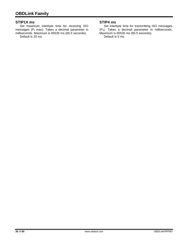## <span id="page-29-0"></span>**STIP1X** *ms*

Set maximum interbyte time for receiving ISO messages ( $P_1$  max). Takes a decimal parameter in milliseconds. Maximum is 65535 ms (65.5 seconds).

Default is 20 ms.

## <span id="page-29-1"></span>**STIP4** *ms*

Set interbyte time for transmitting ISO messages (P4). Takes a decimal parameter in milliseconds. Maximum is 65535 ms (65.5 seconds). Default is 5 ms.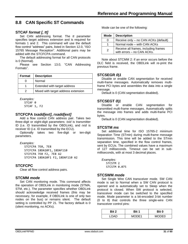# <span id="page-30-0"></span>**8.8 CAN Specific ST Commands**

## <span id="page-30-1"></span>**STCAF** *format [, tt]*

Set CAN addressing format. The *tt* parameter specifies target address extension and is required for formats 1 and 2. This command will use the default flow control "address" pairs, listed in Section [12.0,](#page-44-0) ["ISO](#page-44-0)  [15765 Message Reception"](#page-44-0). Additional pairs may be added with the [STCFCPA](#page-30-3) command.

The default addressing format for all CAN protocols is 0 (Normal).

Please see Section [13.0,](#page-46-0) ["CAN Addressing](#page-46-0)  [Formats"](#page-46-0).

| Format | <b>Description</b>                  |  |
|--------|-------------------------------------|--|
|        | Normal                              |  |
|        | Extended with target address        |  |
|        | Mixed with target address extension |  |

*Examples:* STCAF<sub>0</sub>

STCAF 1, F2

#### <span id="page-30-3"></span>**STCFCPA** *txadd[ext]***,** *rxadd[ext]*

Add a flow control CAN address pair. Takes two three-digit or eight-digit parameters: *txid* is transmitter ID (i.e. ID transmitted by the OBDLink), and *rxid* is receiver ID (i.e. ID transmitted by the ECU).

Optionally takes two five-digit or ten-digit parameters.

*Examples:* STCFCPA 7E0, 7E8

STCFCPA 18DA10F1, 18DAF110 STCFCPA 7E0 F2, 7E8 A2 STCFCPA 18DA10F1 F2, 18DAF110 A2

# <span id="page-30-4"></span>**STCFCPC**

Clear all flow control address pairs.

#### <span id="page-30-2"></span>**STCMM** *mode*

Set CAN monitoring mode. This command affects the operation of OBDLink in monitoring mode [\(STMA,](#page-31-3) [STM,](#page-31-4) etc.). The parameter specifies whether OBDLink should acknowledge received frames (this may be necessary, for example, if OBDLink is one of only two nodes on the bus) or remains silent. The default setting is controlled by PP 21. The factory default is 0 (silent monitoring, no ACKs).

Mode can be one of the following:

| Mode | <b>Description</b>                                                 |  |
|------|--------------------------------------------------------------------|--|
| 0    | Receive only – no CAN ACKs (default)                               |  |
| 1    | Normal node - with CAN ACKs                                        |  |
| 2    | Receive all frames, including frames<br>with errors - no CAN ACKs. |  |

Note about [STCMM](#page-30-2) 2: if an error occurs before the DLC field is received, the OBDLink will re-print the previous frame.

#### <span id="page-30-5"></span>**STCSEGR** *0***|***1*

Disable or enable CAN segmentation for received multi-frame messages. Automatically removes multiframe PCI bytes and assembles the data into a single message.

Default is 0 (CAN segmentation disabled).

#### <span id="page-30-6"></span>**STCSEGT** *0***|***1*

Disable or enable CAN segmentation for transmitted multi-frame messages. Automatically splits the message into frames and adds multi-frame PCI bytes.

Default is 0 (CAN segmentation disabled).

#### <span id="page-30-7"></span>**STCSTM** *ms*

Set additional time for ISO 15765-2 minimum Separation Time (STmin) during multi-frame message transmission. This time will be added to the STmin separation time, specified in the flow control frames, sent by ECUs. The combined values have a maximum of 127 milliseconds. Timeout can be set in submilliseconds, with at most 3 decimal places.

*Examples:* STCSTM 2 STCSTM 0.075

#### <span id="page-30-8"></span>**STCSWM** *mode*

Set Single Wire CAN transceiver mode. SW CAN mode is set to Normal when a SW CAN protocol is opened and is automatically set to Sleep when the protocol is closed. When SW protocol is selected, transceiver mode can be switched to the specified mode. Mode parameter is a bit-encoded 3-bit number (0 to 8) that controls the three single-wire CAN transceiver control pins:

| Rit 2  | Bit 1 | Bit 0             |
|--------|-------|-------------------|
| חמרי י | MODE1 | MODE <sub>0</sub> |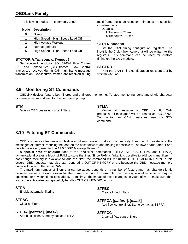The following modes are commonly used:

| Mode | <b>Description</b>               |
|------|----------------------------------|
|      | Sleep                            |
|      | High Speed - High Speed Load Off |
| 2    | High Voltage Wakeup              |
| 3    | Normal (default)                 |
| 5    | High Speed - High Speed Load On  |

## <span id="page-31-5"></span>**STCTOR** *fcTimeout, cfTimeout*

Set receive timeout for ISO 15765-2 Flow Control (FC) and Consecutive (CF) frames. Flow Control frames are received during CAN multi-frame message transmission. Consecutive frames are received during multi-frame message reception. Timeouts are specified in milliseconds.

Defaults:  $fcTimeout = 75$  ms  $cfTimeout = 150 ms$ 

## <span id="page-31-6"></span>**STCTR** *hhhhhh*

Set the CAN timing configuration registers. The input is the 6-digit hex value that will be written to the registers. This command can be used for custom timing on the CAN module.

## <span id="page-31-7"></span>**STCTRR**

Print the CAN timing configuration registers (set by [STCTR](#page-31-6) *hhhhhh*).

# <span id="page-31-0"></span>**8.9 Monitoring ST Commands**

<span id="page-31-4"></span>OBDLink devices feature both filtered and unfiltered monitoring. To stop monitoring, send any single character or carriage return and wait for the command prompt.

#### <span id="page-31-8"></span>**STM**

Monitor OBD bus using current filters.

### <span id="page-31-3"></span>**STMA**

Monitor all messages on OBD bus. For CAN protocols, all messages will be treated as ISO 15765. To monitor raw CAN messages, use the [STM](#page-31-4) command.

# <span id="page-31-1"></span>**8.10 Filtering ST Commands**

OBDLink devices feature a sophisticated filtering system that can be precisely fine-tuned to isolate only the messages of interest, reducing the load on the host software and making it possible to use lower baud rates. For a detailed overview, see Section [11.0,](#page-41-0) ["OBD Message Filtering"](#page-41-0)

**A special note of caution:** each of the "add filter" commands [\(STFBA,](#page-31-10) [STFFCA,](#page-31-12) [STFPA,](#page-32-0) and [STFPGA\)](#page-32-2) dynamically allocates a block of RAM to store the filter. Since RAM is finite, it is possible to add too many filters. If not enough memory is available to add the filter, the command will return the OUT OF MEMORY error. If this occurs, OBD requests may also start generating OUT OF MEMORY errors because the OBD message memory buffer is located in the same RAM.

The maximum number of filters that can be added depends on a number of factors and may change slightly between firmware revisions even for the same scenario. For example, the memory allocation scheme may be optimized, or new functionality is added. To minimize the impact of these changes on your software, make sure that your code anticipates and gracefully handles OUT OF MEMORY errors.

# <span id="page-31-2"></span>**STFA**

Enable automatic filtering.

# <span id="page-31-9"></span>**STFAC**

Clear all filters.

# <span id="page-31-10"></span>**STFBA [***pattern***], [***mask***]**

Add block filter. Same syntax as [STFPA.](#page-32-0)

#### <span id="page-31-11"></span>**STFBC**

Clear all block filters.

# <span id="page-31-12"></span>**STFFCA [***pattern***], [***mask***]**

Add flow control filter. Same syntax as [STFPA.](#page-32-0)

# <span id="page-31-13"></span>**STFFCC**

Clear all flow control filters.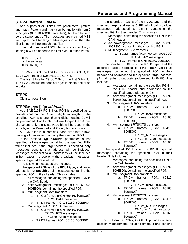# <span id="page-32-0"></span>**STFPA [***pattern***], [***mask***]**

Add a pass filter. Takes two parameters: pattern and mask. Pattern and mask can be any length from 0 to 5 bytes (0 to 10 ASCII characters), but both have to be the same length. The messages are matched MSB first, up to the filter length. Messages shorter than the filter length, will not match that filter.

If an odd number of ASCII characters is specified, a leading 0 will be added to the first byte. In other words,

STFPA 7E8,7FF ...is the same as STFPA 07E8,07FF

For 29-bit CAN, the first four bytes are CAN ID; for 11-bit CAN, the first two bytes are CAN ID.

The first 3 bits for 29-bit CAN or the first 5 bits for 11-bit CAN should be don't care (0s in mask) and/or 0s in pattern.

# <span id="page-32-1"></span>**STFPC**

Clear all pass filters.

# <span id="page-32-2"></span>**STFPGA** *pgn* **[***, tgt address***]**

Add SAE J1939 PGN filter. PGN is specified as a hexadecimal number 4 to 6 digits in length. If the specified PGN is shorter than 6 digits, leading 0s will be prepended. For PGNs that are longer than 4 hex characters, only the Data Page bit will be used in the extra byte; the Reserved and Priority bits are ignored.

A PGN filter is a complex pass filter that allows passing all messages that carry the specified PGN.

If the optional *tgt address* parameter is not specified, all messages containing the specified PGN will be included. If the target address is specified, only messages sent to that address will be included. Messages broadcast to all addresses will be included in both cases. To see only the broadcast messages, specify target address of 0xFF.

The following messages are included:

If the specified PGN is of the **PDU1** type, and target address is **not specified:** all messages, containing the specified PGN in their header. This includes:

- 1. All messages, containing the specified PGN in the CAN header
- 2. Acknowledgment messages (PGN: 59392, \$00E800), containing the specified PGN
- 3. Multi-segment BAM transfers
	- a. TP.CM frames (PGN: 60416, \$00EC00) i. TP.CM\_BAM messages
	- b. TP.DT frames (PGN: 60160, \$00EB00)
- 4. Multi-segment RTS/CTS transfers
	- a. TP.CM frames (PGN: 60416, \$00EC00)
		- i. TP.CM\_RTS messages
		- ii. TP.Conn\_Abort messages
	- b. TP.DT frames (PGN: 60160, \$00EB00)

If the specified PGN is of the **PDU1** type, and the specified target address is **0xFF:** all global broadcast messages (addressed to 0xFF), containing the specified PGN in their header. This includes:

- 1. Messages, containing the specified PGN in the CAN header
- 2. Acknowledgment messages (PGN: 59392, \$00E800), containing the specified PGN
- 3. Multi-segment BAM transfers
	- a. TP.CM frames (PGN: 60416, \$00EC00) i. TP.CM\_BAM messages
	- b. TP.DT frames (PGN: 60160, \$00EB00)

If the specified PGN is of the **PDU1** type, and the specified target address is **other than 0xFF:** all messages, containing the specified PGN in their header and addressed to the specified target address, *plus* all global broadcasts (addressed to 0xFF). This includes:

- 1. Messages, containing the specified PGN in the CAN header and addressed to the specified target address or 0xFF
- 2. Acknowledgment messages (PGN: 59392, \$00E800), containing the specified PGN
- 3. Multi-segment BAM transfers
	- a. TP.CM frames (PGN: 60416, \$00EC00)
		- i. TP.CM\_BAM messages
		- b. TP.DT frames (PGN: 60160, \$00EB00)
- 4. Multi-segment RTS/CTS transfers
	- a. TP.CM frames (PGN: 60416, \$00EC00)
		- i. TP.CM\_RTS messages
		- ii. TP.Conn\_Abort messages
	- b. TP.DT frames (PGN: 60160, \$00EB00)

If the specified PGN is of the **PDU2** type: all messages, containing the specified PGN in their header. This includes:

- 1. Messages, containing the specified PGN in the CAN header
- 2. Acknowledgment messages (PGN: 59392, \$00E800), containing the specified PGN
- 3. Multi-segment BAM transfers
	- a. TP.CM frames (PGN: 60416, \$00EC00)
		- i. TP.CM\_BAM messages
	- b. TP.DT frames (PGN: 60160, \$00EB00)
- 4. Multi-segment RTS/CTS transfers
	- a. TP.CM frames (PGN: 60416, \$00EC00)
		- i. TP.CM\_RTS messages
		- ii. TP.Conn\_Abort messages
	- b. TP.DT frames (PGN: 60160, \$00EB00)

For multi-frame PGNs, OBDLink provides internal session management, including timeouts and sending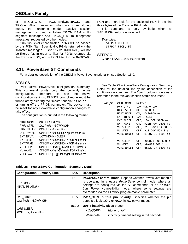of TP.CM CTS, TP.CM EndOfMsgACK, and TP.Conn\_Abort messages, when not in monitoring mode. In monitoring mode, passive session management is used to follow TP.CM\_BAM multisegment messages and TP.CM\_RTS multi-segment messages, requested by other nodes.

Only first-level encapsulated PGNs will be passed by this PGN filter. Specifically, PGNs returned via the Transfer messages (PGN: 51712, 0x00CA00) will not be filtered for. In order to filter for PGNs returned via the Transfer PGN, add a PGN filter for the 0x00CA00 PGN and then look for the enclosed PGN in the first three bytes of the Transfer PGN data.

This command is only available when an SAE J1939 protocol is selected.

*Examples:* STFPGA 00FECB STFPGA FECB, F9

#### <span id="page-33-1"></span>**STFPGC**

<span id="page-33-4"></span>Clear all SAE J1939 PGN filters.

# <span id="page-33-0"></span>**8.11 PowerSave ST Commands**

For a detailed description of the OBDLink PowerSave functionality, see Section [15.0.](#page-51-0)

# <span id="page-33-2"></span>**STSLCS**

Print active PowerSave configuration summary. This command prints only the currently active configuration. Therefore, to see the native configuration settings, ELM327 control mode must be turned off by clearing the "master enable" bit of PP 0E or turning off the PP 0E parameter. The device must be reset for any PowerSave configuration changes to take effect.

The configuration is printed in the following format:

| CTRL MODE:         | <native elm327=""></native>                                                 |
|--------------------|-----------------------------------------------------------------------------|
| PWR CTRL:          | LOW PWR = <low high=""></low>                                               |
| <b>UART SLEEP:</b> | <on off="">, <timeout> s</timeout></on>                                     |
| UART WAKE:         | <on off="">, <pulse min="">-<pulse max=""> us</pulse></pulse></on>          |
| EXT INPUT:         | <low high=""> = SLEEP</low>                                                 |
| <b>EXT SLEEP:</b>  | <on off="">, <low high=""> FOR <time> ms</time></low></on>                  |
| EXT WAKE:          | <on off="">, <low high=""> FOR <time> ms</time></low></on>                  |
| VL SLEEP:          | <on off="">, &lt;&gt;&gt;&gt;[!]<level><br/>FOR<time>s</time></level></on>  |
| VL WAKE:           | <on off="">, &lt;&gt;&gt;&gt;[!]<level><br/>FOR<time> s</time></level></on> |
| <b>VCHG WAKE:</b>  | <on off="">, [+/-][!]<change> IN <time> ms</time></change></on>             |

See Table 25 – [PowerSave Configuration Summary](#page-33-3)  [Detail](#page-33-3) for the detailed line-by-line description of the configuration summary. The "Sec." column contains a reference to the relevant section of this document.

|    | Example: CTRL MODE: NATIVE |                                    |
|----|----------------------------|------------------------------------|
|    |                            | $PWR$ $CTRL$ : $LOW$ $PWR$ = $LOW$ |
|    |                            | UART SLEEP: OFF, 1200 s            |
|    | UART WAKE:                 | ON, 0-30000 us                     |
|    |                            | $EXT$ INPUT: LOW = SLEEP           |
|    |                            | EXT SLEEP: OFF, LOW FOR 3000 ms    |
|    | EXT WAKE:                  | ON, HIGH FOR 2000 ms               |
|    | VL SLEEP:                  | OFF, <13.00V FOR 600 s             |
|    | VL WAKE:                   | OFF, >13.20V FOR 1 s               |
|    | VCHG WAKE:                 | OFF, 0.20V IN 1000 ms              |
| or |                            |                                    |
|    | VL SLEEP:                  | OFF, <0x8C1 FOR 600 s              |
|    | VL WAKE:                   | OFF, >0x8E3 FOR 1 s                |
|    |                            | VCHG WAKE: OFF, 0x022 IN 1000 ms   |

#### <span id="page-33-3"></span>**Table 25 – PowerSave Configuration Summary Detail**

| <b>Configuration Summary Line</b>                      | Sec.   | <b>Description</b>                                                                                                                                                                                                                                                                                   |  |
|--------------------------------------------------------|--------|------------------------------------------------------------------------------------------------------------------------------------------------------------------------------------------------------------------------------------------------------------------------------------------------------|--|
| CTRL MODE:<br><native elm327=""></native>              | 15.1   | PowerSave control mode. Reports whether PowerSave module<br>is operating in a native PowerSave control mode, where all<br>settings are configured via the ST commands, or an ELM327<br>Low Power compatibility mode, where some settings are<br>overridden via the ELM327 programmable parameter 0E. |  |
| PWR CTRL:<br>LOW PWR = <low high=""></low>             | 15.5   | <b>PWR_CTRL output pin polarity.</b> Specifies whether the pin<br>outputs a logic LOW or HIGH in low power mode.                                                                                                                                                                                     |  |
| UART SLEEP:<br><on off="">, <timeout> s</timeout></on> | 15.2.2 | <b>UART inactivity sleep trigger:</b><br>$\langle ON/OFF \rangle$<br>trigger on/off                                                                                                                                                                                                                  |  |
|                                                        |        | inactivity timeout setting in milliseconds<br><timeout></timeout>                                                                                                                                                                                                                                    |  |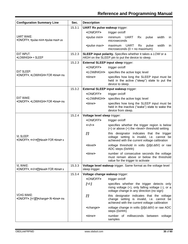# **Reference and Programming Manual**

| <b>Configuration Summary Line</b>                                                        | Sec.   | <b>Description</b>                                                               |                                                                                                                                                     |
|------------------------------------------------------------------------------------------|--------|----------------------------------------------------------------------------------|-----------------------------------------------------------------------------------------------------------------------------------------------------|
|                                                                                          | 15.3.1 | <b>UART Rx pulse wakeup trigger:</b>                                             |                                                                                                                                                     |
|                                                                                          |        | <on off=""></on>                                                                 | trigger on/off                                                                                                                                      |
| <b>UART WAKE:</b><br><on off="">, <pulse min="">-<pulse max=""> us</pulse></pulse></on>  |        | <pulse min=""></pulse>                                                           | minimum<br>width<br>UART<br>pulse<br>Rx<br>in.<br>microseconds                                                                                      |
|                                                                                          |        | <pulse max=""></pulse>                                                           | maximum<br><b>UART</b><br>pulse<br>width<br>Rx<br>in<br>microseconds $(0 = no maximum)$                                                             |
| EXT INPUT:<br><low high=""> = SLEEP</low>                                                | 15.2.3 |                                                                                  | <b>SLEEP input polarity.</b> Specifies whether it takes a LOW or a<br>HIGH on the SLEEP pin to put the device to sleep.                             |
|                                                                                          | 15.2.3 | <b>External SLEEP input sleep trigger:</b>                                       |                                                                                                                                                     |
|                                                                                          |        | <on off=""></on>                                                                 | trigger on/off                                                                                                                                      |
| <b>EXT SLEEP:</b>                                                                        |        | <low high=""></low>                                                              | specifies the active logic level                                                                                                                    |
| <on off="">, <low high=""> FOR <time> ms</time></low></on>                               |        | <time></time>                                                                    | specifies how long the SLEEP input must be<br>held in the active ("sleep") state to put the<br>device to sleep.                                     |
|                                                                                          | 15.3.2 |                                                                                  | <b>External SLEEP input wakeup trigger:</b>                                                                                                         |
|                                                                                          |        | <on off=""></on>                                                                 | trigger on/off                                                                                                                                      |
| <b>EXT WAKE:</b>                                                                         |        | <low high=""></low>                                                              | specifies the active logic level                                                                                                                    |
| <on off="">, <low high=""> FOR <time> ms</time></low></on>                               |        | $\times$ time $\times$                                                           | specifies how long the SLEEP input must be<br>held in the inactive ("wake") state to wake the<br>device from sleep.                                 |
|                                                                                          | 15.2.4 | Voltage level sleep trigger:                                                     |                                                                                                                                                     |
|                                                                                          |        | <on off=""></on>                                                                 | trigger on/off                                                                                                                                      |
|                                                                                          |        | <>                                                                               | specifies whether the trigger region is below<br>$(\le)$ or above $(\ge)$ the $\le$ level $\ge$ threshold setting                                   |
| VL SLEEP:<br><on off="">, &lt;&gt;&gt;&gt;[!]<level><br/>FOR<time> s</time></level></on> |        | II                                                                               | this designator indicates that the trigger<br>voltage setting is invalid, i.e. cannot be<br>achieved with the current voltage calibration           |
|                                                                                          |        | $<$ level $>$                                                                    | voltage threshold in volts ([d]d.ddV) or raw<br>ADC steps (0xhhh)                                                                                   |
|                                                                                          |        | <time></time>                                                                    | number of consecutive seconds the voltage<br>must remain above or below the threshold<br>value for the trigger to activate                          |
| VL WAKE:                                                                                 | 15.3.3 | Voltage level wakeup trigger. Same format as the voltage level<br>sleep trigger. |                                                                                                                                                     |
|                                                                                          | 15.3.4 | Voltage change wakeup trigger:                                                   |                                                                                                                                                     |
|                                                                                          |        | <on off=""></on>                                                                 | trigger on/off                                                                                                                                      |
|                                                                                          |        | $[+/]$                                                                           | specifies whether the trigger detects only<br>rising voltage $(+)$ , only falling voltage $(-)$ , or a<br>voltage change in any direction (no sign) |
| <b>VCHG WAKE:</b><br><on off="">, [+/-][!]<change> IN <time> ms</time></change></on>     |        | [!]                                                                              | this designator indicates that the voltage<br>change setting is invalid, i.e. cannot be<br>achieved with the current voltage calibration            |
|                                                                                          |        | <change></change>                                                                | voltage change in volts ([d]d.ddV) or raw ADC<br>steps (0xhhh)                                                                                      |
|                                                                                          |        | <time></time>                                                                    | number of milliseconds between voltage<br>samples                                                                                                   |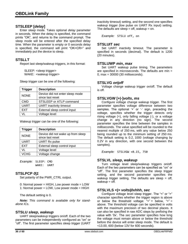## <span id="page-35-0"></span>**STSLEEP [***delay***]**

Enter sleep mode. Takes optional *delay* parameter in seconds. When the delay is specified, the command prints "OK", and returns to the command prompt. The sleep mode will be entered after the specified delay time. When the parameter is empty or 0 seconds delay is specified, the command will print "OK<CR>" and immediately put the device to sleep.

#### <span id="page-35-1"></span>**STSLLT**

Report last sleep/wakeup triggers, in this format:

SLEEP: <sleep trigger> WAKE: <wakeup trigger>

Sleep trigger can be one of the following:

| <b>Trigger</b> | <b>Description</b>                                  |  |
|----------------|-----------------------------------------------------|--|
| <b>NONE</b>    | Device did not enter sleep mode<br>since last reset |  |
| <b>CMD</b>     | STSLEEP or ATLP command                             |  |
| <b>UART</b>    | <b>UART</b> inactivity timeout                      |  |
| <b>EXT</b>     | External sleep control input                        |  |
| VL             | Voltage level                                       |  |

Wakeup trigger can be one of the following:

| <b>Trigger</b> | <b>Description</b>                                    |
|----------------|-------------------------------------------------------|
| <b>NONE</b>    | Device did not wake up from sleep<br>since last reset |
| <b>UART</b>    | <b>UART Rx pulse</b>                                  |
| <b>EXT</b>     | External sleep control input                          |
| VL             | Voltage level                                         |
| <b>VCHG</b>    | Voltage change                                        |

*Example:* SLEEP: CMD WAKE: UART

#### <span id="page-35-2"></span>**STSLPCP** *0***|***1*

Set polarity of the PWR\_CTRL output.

0: Normal power = HIGH, Low power mode = LOW 1: Normal power = LOW, Low power mode = HIGH

The default setting is 0.

*Note: This command is available only for standalone ICs.*

#### <span id="page-35-3"></span>**STSLU** *sleep***,** *wakeup*

UART sleep/wakeup triggers on/off. Each of the two parameters can be independently configured as "on" or "off". The first parameter specifies sleep trigger (UART inactivity timeout) setting, and the second one specifies wakeup trigger (low pulse on UART Rx input) setting. The defaults are sleep  $=$  off, wakeup  $=$  on.

*Example:* STSLU off, on

#### <span id="page-35-4"></span>**STSLUIT** *sec*

Set UART inactivity timeout. The parameter is specified in seconds (decimal). The default is 1200 (20 minutes).

#### <span id="page-35-5"></span>**STSLUWP** *min***,** *max*

Set UART wakeup pulse timing. The parameters are specified in microseconds. The defaults are min = 0, max = 30000 (30 milliseconds).

#### <span id="page-35-6"></span>**STSLVG** *on***|***off*

Voltage change wakeup trigger on/off. The default is off.

#### <span id="page-35-7"></span>**STSLVGW [+|-]***volts***,** *ms*

Configure voltage change wakeup trigger. The first parameter specifies voltage difference between two samples. The optional '+' or '-' sign, preceding the voltage, specifies whether the trigger detects only rising voltage (+), only falling voltage (-), or a voltage change in any direction (no sign). The second parameter specifies the time between the samples in milliseconds. The value specified will be rounded to the nearest multiple of 250 ms, with any value below 250 being rounded up to the minimum setting of 250 ms. The default setting is 0.2, 1000 (voltage changing by 0.2V in any direction, with one second between the samples).

*Example:* STSLVGW +0.15, 750

#### <span id="page-35-8"></span>**STSLVL** *sleep***,** *wakeup*

Turn voltage level sleep/wakeup triggers on/off. Each of the two parameters can be specified as "on" or "off". The first parameter specifies the sleep trigger setting, and the second parameter specifies the wakeup trigger setting. The defaults are sleep = off,  $wakeup = off$ .

#### <span id="page-35-9"></span>**STSLVLS <|>** *volts***|***0xhhh***,** *sec*

Configure voltage level sleep trigger. The "<" or ">" character specifies whether the trigger region is above or below the threshold voltage: " $\lt$ " = below, " $\gt$ " = above. The threshold voltage can be specified in volts with the maximum precision of two decimal places. It can also be specified in raw ADC steps by prefixing the value with '0x'. The *sec* parameter specifies how long the voltage must remain above or below the threshold before the device will enter sleep mode. The default is <13.00, 600 (below 13V for 600 seconds).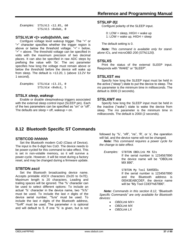*Examples:* STSLVLS <12.85, 60 STSLVLS >0x8ab, 0

#### <span id="page-36-2"></span>**STSLVLW <|>** *volts***|***0xhhh***,** *sec*

Configure voltage level wakeup trigger. The "<" or ">" character specifies whether the trigger region is above or below the threshold voltage: " $\le$ " = below, ">" = above. The threshold voltage can be specified in volts with the maximum precision of two decimal places. It can also be specified in raw ADC steps by prefixing the value with '0x'. The *sec* parameter specifies how long the voltage must remain above or below the threshold before the device will wake up from sleep. The default is >13.20, 1 (above 13.2V for 1 second).

| Examples: STSLVLW >13.15, 0 |                   |  |
|-----------------------------|-------------------|--|
|                             | STSLVLW <0x8cd, 5 |  |

#### <span id="page-36-3"></span>**STSLX** *sleep***,** *wakeup*

Enable or disable sleep/wakeup triggers associated with the external sleep control input (SLEEP pin). Each of the two parameters can be specified as "on" or "off". The defaults are sleep = off, wakeup = on.

#### <span id="page-36-4"></span>**STSLXP** *0***|***1*

Configure polarity of the SLEEP input.

0: LOW = sleep,  $HIGH$  = wake up

1: LOW = wake up,  $HIGH = sleep$ 

The default setting is 0.

*Note: This command is available only for standalone ICs, and microOBD 200 (STN1120).*

#### <span id="page-36-1"></span>**STSLXS**

Print the status of the external SLEEP input. Responds with "WAKE" or "SLEEP".

#### <span id="page-36-5"></span>**STSLXST** *ms*

Specify how long the SLEEP input must be held in the active ("sleep") state to put the device to sleep. The *ms* parameter is the minimum time in milliseconds. The default is 3000 (3 seconds).

#### <span id="page-36-6"></span>**STSLXWT** *ms*

Specify how long the SLEEP input must be held in the inactive ("wake") state to wake the device from sleep. The *ms* parameter is the minimum time in milliseconds. The default is 2000 (2 seconds).

# <span id="page-36-0"></span>**8.12 Bluetooth Specific ST Commands**

#### <span id="page-36-7"></span>**STBTCOD** *hhhhhh*

Set the Bluetooth modem CoD (Class of Device). The input is the 6-digit hex CoD. The device needs to be power-cycled for this command to take effect. This is set in non-volatile memory, so it will survive a power-cycle. However, it will be reset during a factory reset, and may be changed during a firmware update.

#### <span id="page-36-8"></span>**STBTDN** *ascii*

Set the Bluetooth broadcasting device name. Accepts printable ASCII characters (0x20 to 0x7E). Maximum length is 20 characters. Leading and trailing spaces will be ignored. The '%' character can be used to select different options: To include an actual '%' character in the device name, two "%%" must be used. To include the last *n* digits of the device serial number, "%*n*s" must be used. To include the last *n* digits of the Bluetooth address, "%*n*R" must be used. The parameter *n* is optional and will default to 5. If one '%' is given, but is not

followed by '%', "*n*R", "*n*s", 'R', or 's', the operation will fail, and the device name will not be changed.

*Note: This command requires a power cycle for the change to take effect.*

*Examples:* STBTDN OBDLink MX %3s If the serial number is 1234567890 the device name will be "OBDLink MX 890".

> STBTDN My Tool %4R%%%s If the serial number is 1234567890 and the Bluetooth address is 00043EABCDEF, the device name will be "My Tool CDEF%67890".

*Note: Commands in this section 8.12, "Bluetooth Specific Commands" are only available for Bluetooth devices:*

- *OBDLink MX+*
- *OBDLink MX*
- *OBDLink LX*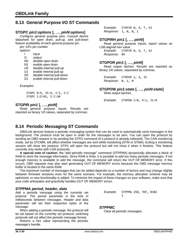# <span id="page-37-0"></span>**8.13 General Purpose I/O ST Commands**

### <span id="page-37-2"></span>**STGPC** *pin1***:***options* **[, …,** *pinN***:***options***]**

Configure general purpose pins. Consult device datasheet for open drain, pull-up, and pull-down feature availability of each general purpose pin.

*pin*: GPx pin number

*options:*

- I input
- O output
- N0 disable open drain
- N1 enable open drain
- U0 disable internal pull-up
- U1 enable internal pull-up
- D0 disable internal pull-down
- D1 enable internal pull-down

*Examples:*

STGPC 0:O, 25:O, 3:I, 5:I STGPC 1:O:N1, 2:I:U0

#### <span id="page-37-3"></span>**STGPIR** *pin1* **[, …,** *pinN***]**

Read general purpose inputs. Results are reported as binary 1/0 values, separated by commas:

*Example:* STGPIR 0, 4, 7, 63 *Response:* 1, 0, 0, 1

#### <span id="page-37-4"></span>**STGPIRH** *pin1* **[, …,** *pinN***]**

Read general purpose inputs, report values as LSB-aligned hex value. *Example:* STGPIR 0, 4, 7, 63

<span id="page-37-5"></span>*Response:* 09

#### **STGPOR** *pin1* **[, …,** *pinN***]**

Read output latches. Results are reported as binary 1/0 values, separated by commas.

*Example:* STGPOR 2, 4, 31 *Response:* 0, 1, 0

<span id="page-37-6"></span>**STGPOW** *pin1***:***state* **[, …,** *pinN***:***state***]**

Write output latches.

*Example:* STGPOW 2:0, 4:1, 31:0

# <span id="page-37-1"></span>**8.14 Periodic Messaging ST Commands**

OBDLink devices feature a periodic messaging system that can be used to automatically send messages in the background. The protocol must be open in order for the messages to be sent. You can open the protocol by sending an OBD request or by sending the STPO command (if a protocol is already selected). The CAN monitoring mode, set by STCMM, will affect whether messages are sent while monitoring (STM or STMA). Exiting a monitoring session will close the protocol. STPX will open the protocol but will not close it when it finishes. This feature currently only works with CAN protocols.

**A special note of caution:** the "add periodic message" command [\(STPPMA\)](#page-31-10) dynamically allocates a block of RAM to store the message information. Since RAM is finite, it is possible to add too many periodic messages. If not enough memory is available to add the message, the command will return the OUT OF MEMORY error. If this occurs, OBD requests may also start generating OUT OF MEMORY errors because the OBD message memory buffer is located in the same RAM.

The maximum number of messages that can be added depends on a number of factors and may change slightly between firmware revisions even for the same scenario. For example, the memory allocation scheme may be optimized, or new functionality is added. To minimize the impact of these changes on your software, make sure that your code anticipates and gracefully handles OUT OF MEMORY errors.

#### <span id="page-37-7"></span>**STPPMA** *period, header, data*

Add a periodic message using the currently set protocol. The period parameter is the time in milliseconds between messages. Header and data parameter will set their respective bytes of the message.

When adding a periodic message, the protocol will be set based on the currently set protocol, switching protocols will not affect the periodic message format.

Returns a hex value representing the periodic message's handle.

*Example:* STPPMA 250, 7DF, B302 1

#### <span id="page-37-8"></span>**STPPMC**

Clear all periodic messages.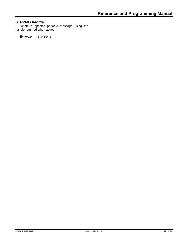# <span id="page-38-0"></span>**STPPMD** *handle*

Delete a specific periodic message using the handle returned when added.

*Example:* STPPMD 1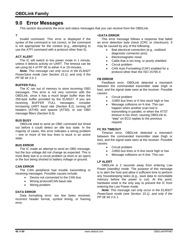# <span id="page-39-0"></span>**9.0 Error Messages**

This section documents the error and status messages that you can receive from the OBDLink.

#### **?**

Invalid command. This error is displayed if the syntax of the command is not correct, or the command is not appropriate for the context (e.g., attempting to use the ATFI command with a protocol other than 5).

#### **ACT ALERT**

The IC will switch to low power mode in 1 minute, unless it detects activity on UART. The timeout can be set using bit 4 of PP 0E to either 4 or 19 minutes.

*Note: This message can only occur in the ELM327 PowerSave mode (see Section [15.1\)](#page-51-1), and only if the PP 0E bit 3 is 1.*

#### **BUFFER FULL**

The IC ran out of memory to store incoming OBD messages. This error is not very common with the OBDLink, since it has a much larger buffer than the 256-byte buffer provided by the ELM327. If you are receiving BUFFER FULL messages, consider increasing UART baud rate (Section [8.2\)](#page-23-0), turning off headers (ATH0) and spaces (ATS0), or use OBD message filters (Section [8.3\)](#page-23-1).

#### **BUS BUSY**

OBDLink tried to send an OBD command but timed out before it could detect an idle bus state. In the majority of cases, this error indicates a wiring problem – one or more of the bus lines is stuck in an active state.

#### **BUS ERROR**

The IC made an attempt to send an OBD message, but the bus voltage did not change as expected. This is most likely due to a circuit problem (a short or an open) or the bus being shorted to battery voltage or ground.

#### **CAN ERROR**

The CAN peripheral had trouble transmitting or receiving messages. Possible causes include:

- Device not connected to the CAN bus
- Wrong protocol/CAN baud rate
- Wiring problem

#### **DATA ERROR**

Data formatting error: too few bytes received, incorrect header format, symbol timing, or framing error.

#### **<DATA ERROR**

This error message follows a response that failed an error detection byte check (CRC or checksum). It may be caused by any of the following:

- Bad electrical connection (e.g., oxidized diagnostic connector pins)
- Electromagnetic noise
- Cable that is too long, or poorly shielded
- Circuit problem
- CAN Auto Formatting (CAF) enabled for a protocol other than the ISO 15765-4

#### **FB ERROR**

Feedback error. OBDLink detected a mismatch between the commanded transmitter state (high or low), and the signal state seen at the receiver. Possible causes:

- Circuit problem
- J1850 bus lines or K-line stuck high or low
- Message collisions on K-line. This can happen when another scan tool is transmitting in parallel, or when the ATST timeout is too short, causing OBDLink to "step" on ECU replies to the previous request

#### **FC RX TIMEOUT**

Timeout error. OBDLink detected a mismatch between the commanded transmitter state (high or low), and the signal state seen at the receiver. Possible causes:

- Circuit problem
- J1850 bus lines or K-line stuck high or low
- Message collisions on K-line. This can

#### **LP ALERT**

OBDLink is 2 seconds away from entering Low Power (standby) mode. The purpose of this message is to alert the host and allow it sufficient time to perform any housekeeping tasks (e.g., save data to nonvolatile memory before the power is cut). At this point, hardware reset is the only way to prevent the IC from entering the Low Power mode.

*Note: This message can only occur in the ELM327 PowerSave mode (see Section [15.1\)](#page-51-1), and only if the PP 0E bit 3 is 1.*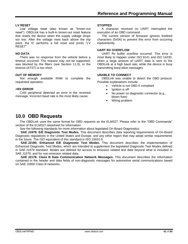#### **LV RESET**

Low voltage reset (also known as "brown-out reset"). OBDLink has a built-in brown-out reset feature that resets the device when the supply voltage drops too low. After the voltage rises back above the trip point, the IC performs a full reset and prints "LV RESET".

#### **NO DATA**

There was no response from the vehicle before a timeout occurred. The request may not be supported, was blocked by the filters (see Section [11.0\)](#page-41-0), or the timeout [\(ATST\)](#page-15-5) is too short.

#### **OUT OF MEMORY**

Not enough available RAM to complete the requested operation.

#### **<RX ERROR**

CAN peripheral detected an error in the received message. Incorrect baud rate is the most likely cause.

#### **STOPPED**

A character received on UART interrupted the execution of an OBD command.

The current version of firmware ignores linefeed characters (0x0A) to prevent this error from occurring inadvertently.

#### **UART RX OVERFLOW**

UART Rx buffer overflow occurred. This error is most likely to happen under ISO 9141 and ISO 14230, when a large amount of UART data is sent to the OBDLink at a high baud rate, while the device is busy transmitting keep-alive messages.

#### **UNABLE TO CONNECT**

OBDLink was unable to detect the OBD protocol. Possible explanations include:

- Vehicle is not OBD-II compliant
- lanition is off
- No power on diagnostic connector (e.g., blown fuse)
- Wiring problem

# <span id="page-40-0"></span>**10.0 OBD Requests**

The OBDLink uses the same format for OBD requests as the ELM327. Please refer to the "OBD Commands" section of the ELM327 datasheet for information.

See the following standards for more information about legislated On-Board Diagnostics:

**SAE J1979: E/E Diagnostic Test Modes.** This document describes data reporting requirements of On-Board Diagnostic regulations in the United States and Europe, and any other region that may adopt similar requirements in the future. The ISO equivalent of this standard is ISO 15031-5.

**SAE J2190: Enhanced E/E Diagnostic Test Modes.** This document describes the implementation of Enhanced Diagnostic Test Modes, which are intended to supplement the legislated Diagnostic Test Modes defined in SAE J1979 standard. Modes are defined for access to emission related test data beyond what is included in SAE J1979, and for non-emission related data.

**SAE J2178: Class B Data Communication Network Messages.** This document describes the information contained in the header and data fields of non-diagnostic messages for automotive serial communications based on SAE J1850 Class B networks.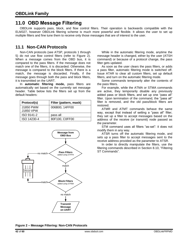# <span id="page-41-0"></span>**11.0 OBD Message Filtering**

OBDLink supports pass, block, and flow control filters. Their operation is backwards compatible with the ELM327, however OBDLink filtering scheme is much more powerful and flexible. It allows the user to set up multiple filters and fine tune them to receive only those messages that are of interest to the user.

# <span id="page-41-1"></span>**11.1 Non-CAN Protocols**

Non-CAN protocols (see [ATSP,](#page-14-4) protocols 1 through 5) do not use flow control filters (refer to [Figure 2\)](#page-41-2). When a message comes from the OBD bus, it is compared to the pass filters. If the message does not match one of the filters, it is discarded. Otherwise, the message is compared to the block filters. If there is a match, the message is discarded. Finally, if the message goes through both the pass and block filters, it is transmitted on the UART.

In **automatic filtering mode,** pass filters are automatically set based on the currently set message header. Table below lists the filters set up from the default headers:

| Protocol(s)            | Filter (pattern, mask) |
|------------------------|------------------------|
| J1850 PWM<br>J1850 VPW | 006B00, 14FF00         |
| ISO 9141-2             | pass all               |
| ISO 14230-4            | 80F100, C0FF00         |



While in the automatic filtering mode, anytime the message header is changed, either by the user [\(ATSH](#page-14-3) command) or because of a protocol change, the pass filter gets updated.

As soon as the user clears the pass filters, or adds a pass filter, automatic filtering mode is switched off. Issue [ATAR](#page-9-4) to clear all custom filters, set up default filters, and turn on the automatic filtering mode.

Some commands temporarily alter the contents of the pass filters.

For example, while the [ATMA](#page-13-7) or [STMA](#page-31-3) commands are active, they temporarily disable any previously added pass or block filters, and set up one "pass all" filter. Upon termination of the command, the "pass all" filter is removed, and the old pass/block filters are restored.

[ATMR](#page-13-8) and [ATMT](#page-13-9) commands behave the same way, except that instead of setting a "pass all" filter, they set up a filter to accept messages based on the address of the receive (or transmit) node passed as the parameter.

[STM](#page-31-4) command uses all filters "as-set": it does not modify them in any way.

[ATSR](#page-14-5) turns off the automatic filtering mode, and sets up a pass filter to accept messages sent to the receive address provided as the parameter to [ATSR.](#page-14-5)

In order to directly manipulate the filters, use the filtering commands described in Section [8.10,](#page-31-1) ["Filtering](#page-31-1)  [ST Commands"](#page-31-1).

<span id="page-41-2"></span>**Figure 2 – Message Filtering: Non-CAN Protocols**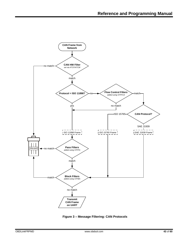

**Figure 3 – Message Filtering: CAN Protocols**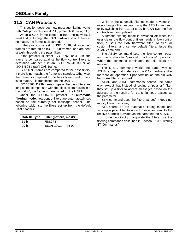# <span id="page-43-0"></span>**11.2 CAN Protocols**

This section describes how message filtering works with CAN protocols (see [ATSP,](#page-14-4) protocols 6 through C).

When a CAN frame comes in from the network, it must first go through the CAN hardware filter. If there is no match, the frame is discarded.

If the protocol is set to ISO 11898, all incoming frames are treated as ISO 11898 frames, and are sent straight through to the pass filters.

If the protocol is either ISO 15765 or J1939, the frame is compared against the flow control filters to determine whether it is an ISO 15765/J1939 or an ISO 11898 ("raw") CAN frame.

ISO 11898 frames are compared to the pass filters. If there is no match, the frame is discarded. Otherwise, the frame is compared to the block filters, and if there is no match, it is transmitted on the UART.

ISO 15765/J1939 frames bypass the pass filters. As long as the comparison with the block filters results in a "no match", the frame is transmitted on the UART.

Under the ISO 15765 protocol, in **automatic filtering mode,** flow control filters are automatically set based on the currently set message header. The following table lists the filters set up from the default CAN headers:

| <b>CAN ID Type</b> | Filter (pattern, mask) |
|--------------------|------------------------|
| $11$ -bit          | 7E8,7F8                |
| 29-bit             | 18DAF100,1FFFFF00      |

While in the automatic filtering mode, anytime the user changes the headers using the [ATSH](#page-14-3) command, or by switching from 11-bit to 29-bit CAN IDs, the flow control filter gets updated.

Automatic filtering mode is switched off when the user clears the flow control filters, adds a flow control filter, or sets the CAN hardware filter. To clear all custom filters, and set up default filters, issue the [ATAR](#page-9-4) command.

The [ATMA](#page-13-7) command sets the flow control, pass, and block filters for "pass all, block none" operation. When the command terminates, the old filters are restored.

The [STMA](#page-31-3) command works the same way as [ATMA,](#page-13-7) except that it also sets the CAN hardware filter for "pass all" operation. Upon termination, the old CAN hardware filter is restored.

[ATMR](#page-13-8) and [ATMT](#page-13-9) commands behave the same way, except that instead of setting a "pass all" filter, they set up a filter to accept messages based on the address of the receive (or transmit) node passed as the parameter.

[STM](#page-31-4) command uses the filters "as-set": it does not modify them in any way.

[ATSR](#page-14-5) turns off the automatic filtering mode, and sets up a pass filter to accept messages sent to the receive address provided as the parameter to [ATSR.](#page-14-5)

In order to directly manipulate the filters, use the filtering commands described in Section [8.10,](#page-31-1) ["Filtering](#page-31-1)  [ST Commands"](#page-31-1).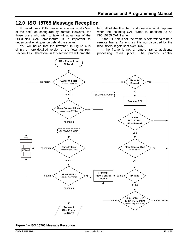# <span id="page-44-0"></span>**12.0 ISO 15765 Message Reception**

For most users, CAN message reception works "out of the box", as configured by default. However, for those users who wish to take full advantage of the OBDLink's CAN architecture, it is important to understand what goes on behind the scenes.

You will notice that the flowchart in [Figure 4](#page-44-1) is simply a more detailed version of the flowchart from Section [11.2.](#page-43-0) Therefore, in this section we will omit the

left half of the flowchart and describe what happens when the incoming CAN frame is identified as an ISO 15765 CAN frame.

If the RTR bit is set, the frame is determined to be a **remote frame.** As long as it is not discarded by the block filters, it gets sent over UART.

If the frame is not a remote frame, additional processing takes place. The protocol control



<span id="page-44-1"></span>**Figure 4 – ISO 15765 Message Reception**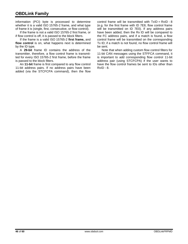information (PCI) byte is processed to determine whether it is a valid ISO 15765-2 frame, and what type of frame it is (single, first, consecutive, or flow control).

If the frame is not a valid ISO 15765-2 first frame, or if flow control is off, it is passed to the block filters.

If the frame is a valid ISO 15765-2 **first frame,** and **flow control** is on, what happens next is determined by the ID type.

A **29-bit** frame ID contains the address of the transmitter, therefore, a flow control frame is transmitted for every ISO 15765-2 first frame, before the frame is passed to the block filters.

An **11-bit** frame is first compared to any flow control 11-bit address pairs. If no address pairs have been added (via the STCFCPA command), then the flow

control frame will be transmitted with  $TxID = RxID - 8$ (e.g. for the first frame with ID 7E8, flow control frame will be transmitted on ID 7E0). If any address pairs have been added, then the Rx ID will be compared to the FC address pairs, and if a match is found, a flow control frame will be transmitted on the corresponding Tx ID; if a match is not found, no flow control frame will be sent.

Note that when adding custom flow control filters for 11-bit CAN messages using the [STFFCA](#page-31-12) command, it is important to add corresponding flow control 11-bit address pair (using [STCFCPA\)](#page-30-3) if the user wants to have the flow control frames be sent to IDs other than RxID - 8.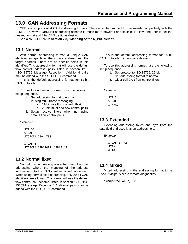# <span id="page-46-0"></span>**13.0 CAN Addressing Formats**

OBDLink supports all 4 CAN addressing formats. There is limited support for backwards compatibility with the ELM327, however OBDLink addressing scheme is much more powerful and flexible. It allows the user to set the desired format and filter CAN traffic as desired.

<span id="page-46-1"></span>See also **ISO 15765-2 Section 7.3, "Mapping of the N\_PDU fields".**

# **13.1 Normal**

With normal addressing format, a unique CAN identifier encapsulates the source address and the target address. There are no specific fields in this identifier. This addressing format will use the default flow control "address" pairs, listed in section [12.0,](#page-44-0) ["ISO 15765 Message Reception"](#page-44-0). Additional pairs may be added with the [STCFCPA](#page-30-3) command.

This is the default addressing format for 11-bit CAN protocols.

To use this addressing format, use the following setup sequence.

- 1. Set addressing format to normal
- 2. If using multi-frame messaging
	- a. 11-bit: use flow control offset
	- b. 29-bit: must add flow control pairs
- 3. Setup receive filters when not using default flow control pairs

*Example:*

STP 33 STCAF<sub>0</sub> STCFCPA 7E0, 7E8

STCAF<sub>0</sub> STCFCPA 18DA10F1, 18DAF110

# <span id="page-46-2"></span>**13.2 Normal fixed**

Normal fixed addressing is a sub-format of normal addressing where the mapping of the address information into the CAN identifier is further defined. When using normal fixed addressing, only 29-bit CAN identifiers are allowed. This format will use the default flow control pair scheme, listed in section [12.0,](#page-44-0) "ISO [15765 Message Reception"](#page-44-0). Additional pairs may be added with the [STCFCPA](#page-30-3) command.

This is the default addressing format for 29-bit CAN protocols, with no pairs defined.

To use this addressing format, use the following setup sequence.

- 1. Set protocol to ISO 15765, 29-bit
- 2. Set addressing format to normal
- 3. Clear call CAN flow control filters

*Example:*

STP 34 STCAF<sub>0</sub> **STFFCC** 

# <span id="page-46-3"></span>**13.3 Extended**

Extending addressing takes one byte from the data field and uses it as an address field.

*Example:*

STCAF 1, F2 **STFA** ATTA

# <span id="page-46-4"></span>**13.4 Mixed**

Mixed addressing is the addressing format to be used if Mtype is set to remote diagnostics.

*Example:* STCAF 2, F2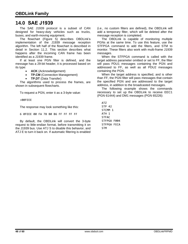# <span id="page-47-0"></span>**14.0 SAE J1939**

The SAE J1939 protocol is a subset of CAN designed for heavy-duty vehicles such as trucks, buses, and earth-moving equipment.

The flowchart [\(Figure 5\)](#page-48-0) describes OBDLink's implementation of the J1939 message reception algorithm. The left half of the flowchart is described in detail in Section [11.2.](#page-43-0) This section describes what happens after the incoming CAN frame has been identified as a J1939 frame.

If at least one PGN filter is defined, and the message has a 29-bit header, it is processed based on its type:

• **ACK** (Acknowledgement)

**TP.CM** (Connection Management)

• **TP.DT** (Data Transfer)

The algorithms used to process the frames, are shown in subsequent flowcharts.

To request a PGN, enter it as a 3-byte value:

>00FEEE

The response may look something like this:

6 0FEEE 00 FA 78 B0 B6 FF FF FF FF

By default, the OBDLink will convert the 3-byte request to little-endian format, before transmitting it on the J1939 bus. Use [ATJ](#page-12-11) S to disable this behavior, and [ATJ](#page-12-11) E to turn it back on. If automatic filtering is enabled

(i.e., no custom filters are defined), the OBDLink will add a temporary filter, which will be deleted after the message reception is completed.

The OBDLink is capable of monitoring multiple PGNs at the same time. To use this feature, use the [STFPGA](#page-32-2) command to add the filters, and [STM](#page-31-4) to monitor. These filters also work with multi-frame J1939 messages.

When the [STFPGA](#page-32-2) command is called with the target address parameter omitted or set to FF, the filter will pass PDU1 messages containing the PGN and addressed to FF, as well as all PDU2 messages containing the PGN.

When the target address is specified, and is other than FF, the PGN filter will pass messages that contain the specified PGN and are addressed to the target address, in addition to the broadcasted messages.

The following example shows the commands necessary to set up the OBDLink to receive EEC1 (PGN 61444) and DM1 messages (PGN 65226):

ATZ STP 42 STCMM<sub>1</sub> ATH 1 STFAC STFPGA F004 STFPGA FECA STM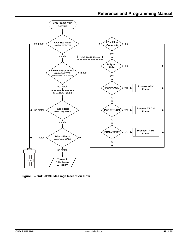

<span id="page-48-0"></span>**Figure 5 – SAE J1939 Message Reception Flow**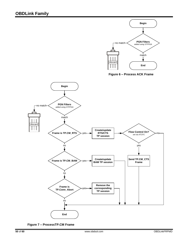

**Figure 6 – Process ACK Frame**



**Figure 7 – ProcessTP.CM Frame**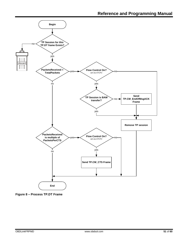

**Figure 8 – Process TP.DT Frame**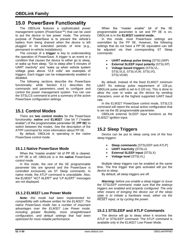# <span id="page-51-0"></span>**15.0 PowerSave Functionality**

The OBDLink features a sophisticated power management system (PowerSave™) that can be used to put the device in low power mode. The primary purpose of PowerSave is to prevent the vehicle's battery from being drained when the device is left plugged in for extended periods of time (e.g., permanent in-vehicle installations).

The concept of a **trigger** is key to understanding the operation of PowerSave. A *trigger* is an event or a condition that causes the device to either go to sleep, or wake up from sleep. "Go to sleep after 5 minutes of UART inactivity" and "wake up when vehicle system voltage goes above 12.8 volts" are examples of triggers. Each trigger can be independently enabled or disabled.

The following sections describe the PowerSave functionality, while Section [8.11](#page-33-0) describes the commands and parameters used to configure and control the power management system. You can use the [STSLCS](#page-56-2) command to print a summary of the active PowerSave configuration settings.

# <span id="page-51-1"></span>**15.1 Control Modes**

There are **two control modes** for the PowerSave functionality: **native** and **ELM327**. Use bit 7 ("master enable") of the programmable parameter 0E (**PP 0E**) to switch between the modes. See the description of the [ATPP](#page-13-3) command for more information about PP 0E.

<span id="page-51-2"></span>By default, OBDLink is operating in the native PowerSave control mode.

#### **15.1.1 Native PowerSave Mode**

When the "master enable" bit of PP 0E is cleared, or PP 0E is off, OBDLink is in the **native** PowerSave control mode.

In this mode, the rest of the 0E programmable parameter bits are ignored and the PowerSave is controlled exclusively via ST Sleep commands. In native mode, the [ATLP](#page-13-0) command is unavailable. Also, the ELM327 "ACT ALERT" and "LP ALERT" messages are not displayed.

# <span id="page-51-3"></span>**15.1.2 ELM327 Low Power Mode**

*Note: this mode had been implemented for compatibility with software written for the ELM327. The native PowerSave mode has a number of important advantages over the ELM327 Low Power mode, including greater flexibility, more straightforward configuration, and default settings that had been optimized for more reliable performance.*

When the "master enable" bit of the 0E programmable parameter is set and PP 0E is on, OBDLink is in the **ELM327 control mode.**

In this mode, most PowerSave settings are overridden by the PP 0E. However, the following settings that do not have a PP 0E equivalent can still be adjusted via their corresponding ST Sleep commands:

- **UART wakeup pulse timing** [\(STSLUWP\)](#page-35-5)
- **External SLEEP input polarity** [\(STSLXP\)](#page-36-4)
- **Voltage based triggers** [\(STSLVL,](#page-35-8) [STSLVLS,](#page-35-9) [STSLVLW,](#page-36-2) [STSLVG,](#page-35-6) [STSLVGW\)](#page-35-7)

By default, instead of the fixed ELM327 minimum UART Rx wakeup pulse requirement of 128 μs, OBDLink pulse width is set to 0 (20 ns). This is done to allow the user to wake up the device by sending characters, even at the highest supported UART baud rate.

In the ELM327 PowerSave control mode, [STSLCS](#page-33-4) command will report the actual active configuration that is set via the 0E programmable parameter.

<span id="page-51-4"></span>OBDLink external SLEEP input functions as the ELM327 IgnMon input.

# **15.2 Sleep Triggers**

Device can be put to sleep using one of the four sleep triggers:

- **Sleep commands** [\(STSLEEP](#page-35-0) and [ATLP\)](#page-13-0)
- **UART inactivity** [\(STSLU\)](#page-35-3)
- **External SLEEP input** [\(STSLX\)](#page-36-3)
- **Voltage level** [\(STSLVL\)](#page-35-8)

Multiple sleep triggers can be enabled at the same time. The first trigger that gets activated will put the device to sleep.

By default, all sleep triggers are off.

*Warning: before you enable a sleep trigger or issue the [STSLEEP](#page-35-0) command, make sure that the wakeup triggers are enabled and properly configured. The only other means of bringing the device out of the sleep state is to initiate a hardware reset, either via the RESET input, or by cycling the power.* 

# <span id="page-51-5"></span>**15.2.1 STSLEEP and ATLP Commands**

The device will go to sleep when it receives the [ATLP](#page-13-0) or [STSLEEP](#page-35-0) command. The [ATLP](#page-13-0) command is available only in the ELM327 Low Power Mode.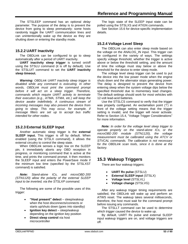The [STSLEEP](#page-35-0) command has an optional *delay* parameter. The purpose of the delay is to prevent the device from going to sleep prematurely: some hosts randomly toggle the UART communication lines and can unintentionally wake up the device as they are shutting down or entering the standby mode.

## <span id="page-52-0"></span>**15.2.2 UART Inactivity**

The OBDLink can be configured to go to sleep automatically after a period of UART inactivity.

**UART inactivity sleep trigger** is turned on/off using the [STSLU](#page-35-3) command (it is off by default). Use the [STSLUIT](#page-35-4) command to set the **UART inactivity sleep timeout.**

*Warning: OBDLink UART inactivity sleep trigger is disabled while any command is executing. In other words, OBDLink must print the command prompt before it will act on a sleep trigger. Therefore, commands which require UART activity to terminate their execution (e.g., [ATMA,](#page-13-7) [STMA,](#page-31-3) etc.) will keep the device awake indefinitely. A continuous stream of incoming messages may also prevent the device from going to sleep. This may occur, for example, if message filters are set up to accept bus traffic intended for other nodes.*

#### <span id="page-52-1"></span>**15.2.3 External SLEEP Input**

Another automatic sleep trigger is the **external SLEEP input.** This trigger is off by default. When enabled (using the [STSLX](#page-36-3) command), it allows the external circuitry to control the sleep state.

When OBDLink senses a logic low on the SLEEP pin, it immediately aborts any OBD reception in progress, or monitoring command that is active at the time, and prints the command prompt. It then monitors the SLEEP input and enters the PowerSave mode if the minimum low time (specified by the [STSLXST](#page-36-5) command) is satisfied.

*Note: Stand-alone ICs, and microOBD 200 (STN1120) allow the polarity of the external SLEEP input to be inverted, via the [STSLXP](#page-36-4) command.*

The following are some of the possible uses of this trigger:

- **"Host present" detect** sleep/wakeup when the host disconnects/connects or starts up/shuts down (goes into standby)
- **Ignition key detect** sleep/wakeup depending on the ignition key position
- **Direct sleep control** via host microcontroller

The logic state of the SLEEP input state can be polled using the [STSLXS](#page-36-1) and [ATIGN](#page-12-2) commands.

<span id="page-52-2"></span>See Section [15.6](#page-54-2) for device-specific implementation details.

# **15.2.4 Voltage Level Sleep**

The OBDLink can also enter sleep mode based on the voltage on the ANALOG\_IN input. This trigger can be configured in the variety of ways. The settings specify voltage threshold, whether the trigger is active above or below the threshold setting, and the amount of time the voltage must stay below or above the threshold for the device to enter sleep mode.

The voltage level sleep trigger can be used to put the device into the low power mode when the engine shuts down and the alternator stops generating power. The delay is designed to prevent the device from entering sleep when the system voltage dips below the specified threshold due to momentary load changes. The default settings should work for most vehicles with 12-volt lead-acid batteries.

Use the [STSLCS](#page-33-4) command to verify that the trigger was properly configured. An exclamation point ('!') in front of the voltage setting means that the trigger setting is invalid, and the trigger will never activate. Refer to Section [15.4,](#page-54-0) ["Voltage Trigger Considerations"](#page-54-0) for more information.

*Note: In order for the voltage level sleep trigger to operate properly on the stand-alone ICs, or the microOBD 200 module (STN1120), the voltage measurement must be calibrated using the [ATCV](#page-11-3) or [STVCAL](#page-26-2) commands. The calibration is not necessary for the OBDLink scan tools, since it is done at the factory.*

# <span id="page-52-3"></span>**15.3 Wakeup Triggers**

There are four wakeup triggers:

- **UART Rx pulse** [\(STSLU\)](#page-35-3)
- **External SLEEP input** [\(STSLX\)](#page-36-3)
- **Voltage level** [\(STSLVL\)](#page-35-8)
- **Voltage change** [\(STSLVG\)](#page-35-6)

After any wakeup trigger timing requirements are satisfied, the OBDLink will wake up and perform an [ATWS](#page-15-0) reset. The wakeup takes several milliseconds, therefore, the host must wait for the command prompt before issuing any commands.

The STSLLT command can be used to determine which trigger caused the device to wake up.

By default, UART Rx pulse and external SLEEP input wakeup triggers are on, and voltage triggers are off.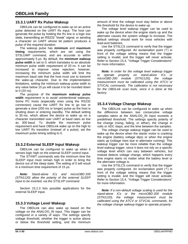#### <span id="page-53-0"></span>**15.3.1 UART Rx Pulse Wakeup**

OBDLink can be configured to wake up on an active pulse detected on the UART Rx input. The host can generate the pulse by holding the Rx line in a logic low state, transmitting an RS232 "break" signal, or sending a character on UART whose bit pattern produces a pulse of the required duration.

The wakeup pulse has **minimum** and **maximum timing** requirements, which are set using the [STSLUWP](#page-35-5) command, and are accurate to within approximately 5 μs. By default, the **minimum wakeup pulse width** is set to 0, which translates to an absolute minimum pulse width requirement of 20 ns. It can be increased to improve noise rejection; however, increasing the minimum pulse width will limit the maximum baud rate that the host must use to transmit the wake-up character. Due to the implementation limitations, setting the minimum wakeup pulse width to any value below 15 μs will cause it to be rounded down to 0 (20 ns).

The purpose of the **maximum wakeup pulse width** requirement is to avoid unintentional wakeups. Some PC hosts (especially ones using the RS232 connection) cause the UART Rx line to go low or generate a slow (200 ms or longer) pulse as the host is shutting down or entering standby. The default setting is 30 ms, which allows the device to wake up on a character transmitted over UART at baud rates as low as 300 baud. To disable the maximum pulse requirement and have OBDLink wake up on the high to low UART Rx transition (instead of a pulse), set the maximum pulse timing setting to 0.

#### <span id="page-53-1"></span>**15.3.2 External SLEEP Input Wakeup**

OBDLink can be configured to wake up when it senses logic high on the external SLEEP control input.

The STXWT commands sets the minimum time the SLEEP input must remain high in order to bring the device out of the sleep state. The setting of 0 will result in a minimum time requirement of 15 μs.

*Note: Stand-alone ICs and microOBD 200 (STN1120) allow the polarity of the external SLEEP input to be inverted, via the [STSLXP](#page-36-4) command.*

<span id="page-53-2"></span>Section [15.2.3](#page-52-1) lists possible applications for the external SLEEP input.

#### **15.3.3 Voltage Level Wakeup**

The OBDLink can also wake up based on the voltage on the ANALOG\_IN input. This trigger can be configured in a variety of ways. The settings specify voltage threshold, whether the trigger is active above or below the threshold setting, and the minimum

amount of time the voltage must stay below or above the threshold for the device to wake up.

The voltage level wakeup trigger can be used to wake up the device when the engine starts up and the alternator causes the system voltage to increase. The default settings should work for most vehicles with lead-acid batteries.

Use the [STSLCS](#page-33-4) command to verify that the trigger was properly configured. An exclamation point ('!') in front of the voltage setting means that the trigger setting is invalid, and the trigger will never activate. Refer to Section [15.4,](#page-54-0) ["Voltage Trigger Considerations"](#page-54-0) for more information.

*Note: In order for the voltage level wakeup trigger to operate properly on stand-alone ICs or microOBD 200 module (STN1120), the voltage measurement must be calibrated using the [ATCV](#page-11-3) or [STVCAL](#page-26-2) commands. The calibration is not necessary for the OBDLink scan tools, since it is done at the factory.*

#### <span id="page-53-3"></span>**15.3.4 Voltage Change Wakeup**

The OBDLink can be configured to wake up when the *difference* between two consecutive voltage samples taken at the ANALOG IN input exceeds a predefined threshold. The settings specify polarity of the change (rising, falling, or either), the change in volts or ADC steps, and the time between the samples.

The voltage change wakeup trigger can be used to wake up the device when the starter motor is cranking the engine (battery voltage dips) or when the engine starts up (voltage rises due to alternator running). This wakeup trigger can be more reliable than the voltage level wakeup trigger, since it does not rely on a specific voltage level which can vary between vehicles, but instead detects voltage change, which happens every time engine starts no matter what the battery level or the alternator voltage is.

Use the [STSLCS](#page-33-4) command to verify that the trigger was properly configured. An exclamation point ('!') in front of the voltage setting means that the trigger setting is invalid, and the trigger will never activate. Refer to Section [15.4,](#page-54-0) ["Voltage Trigger Considerations"](#page-54-0) for more information.

*Note: If a non-default voltage scaling is used for the stand-alone ICs or the microOBD 200 module (STN1120), the voltage measurement must be calibrated using the [ATCV](#page-11-3) or [STVCAL](#page-26-2) commands, for the voltage change wakeup trigger to operate properly.*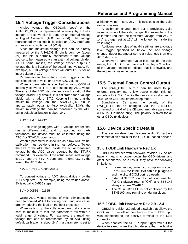# <span id="page-54-0"></span>**15.4 Voltage Trigger Considerations**

Analog voltage that OBDLink "sees" on the ANALOG\_IN pin is represented internally by a 12-bit integer. The conversion is done by an internal Analog to Digital Converter (ADC for short). The voltage represented by a single bit is called an "ADC step", and is measured in volts per bit (V/bit).

Since the maximum voltage that can be directly measured by the ANALOG\_IN pin is very low (about 3V), the pin is normally connected to the voltage source to be measured via an external voltage divider. As its name implies, the voltage divider outputs a voltage that is a fraction of the actual input voltage. For example, a 1:10 voltage divider will output 1.2V for an input voltage of 12V.

Parameters to the voltage based triggers can be specified either in volts, or as raw ADC values.

When a parameter is specified in volts, OBDLink internally converts it to a corresponding ADC value. The size of the ADC step depends on the ratio of the voltage divider. By default, it is calibrated for a voltage divider with a ratio of 1:7.2. Keeping in mind that the maximum voltage on the ANALOG\_IN pin is approximately equal to VDD (typically, 3.3V), the maximum voltage that can be measured by the ADC using default calibration is about 24V:

 $3.3V \times 7.2 = 23.76V$ 

To use voltage triggers with a voltage divider that has a different ratio, and to account for parts tolerances, the device must be calibrated using the [ATCV](#page-11-3) or [STVCAL](#page-26-2) commands.

When a parameter is specified as a raw ADC value, calibration must be done in the host software. To get the size of the ADC step, divide the actual measured voltage by the ADC value reported by the [STVRX](#page-26-6) command. For example, if the actual measured voltage is 12V, and the [STVRX](#page-26-6) command returns 0x7FF, the size of the ADC step is:

 $12V \div 0x7FF = 0.00586V/bit$ 

To convert voltage to ADC steps, divide it by the ADC step size. For example, using the values above, 8V is equal to 0x555 steps:

8V *÷* 0.00586 = 0x555

Using ADC values instead of volts eliminates the need to convert ASCII to floating point and vice versa, greatly reducing the load on the host processor.

When setting up the voltage triggers, take special care to make sure that the parameters fall within a valid range of values. For example, the maximum voltage that can be represented by an ADC using default calibration is about 24V. If a parameter is set to

a higher value  $-$  say, 25V  $-$  it falls outside the valid range of values.

A calibration change may put a previously valid value outside of the valid range. For example, if the calibration reduces the maximum voltage from 24V to 14V, a trigger set at 15V will no longer be inside the valid range.

Additional examples of invalid settings are a voltage level trigger specified as 'below 0V', and voltage change trigger parameter set to a value less than one ADC step size.

Whenever a parameter value falls outside the valid range, the [STSLCS](#page-33-4) command will display a '!' in front of the voltage setting to indicate that it is invalid, and the trigger will never activate.

# <span id="page-54-1"></span>**15.5 External Power Control Output**

The **PWR\_CTRL output** can be used to put external circuitry into a low power mode. This pin outputs a logic "high" while the device is awake, and a "low" when OBDLink enters sleep mode.

Stand-alone ICs allow the polarity of the PWR\_CTRL to be changed via the [STSLPCP](#page-35-2) command or bit 6 of the 0E programmable parameter (ELM327 LP mode only). The polarity is fixed for all other OBDLink devices.

# <span id="page-54-2"></span>**15.6 Device Specific Details**

<span id="page-54-3"></span>This section describes device-specific PowerSave implementation details for the OBDLink-based devices.

# **15.6.1 OBDLink Hardware Rev 1.x**

OBDLink devices with hardware revision 1.x do not have a means to power down the OBD drivers and other peripherals. As a result, they have the following limitations:

- In sleep mode, current consumption is about 37 mA (54 mA if the USB cable is plugged in and the virtual COM port is closed).
- External SLEEP control input is not enabled [\(ATIGN](#page-12-2) always returns "ON", and [STSLXS](#page-36-1) always returns "WAKE").
- The "STATUS" LED is not controlled by the STN1100, and remains on during sleep.

# <span id="page-54-4"></span>**15.6.2 OBDLink Hardware Rev 2.0 - 2.4**

OBDLink revision 2.0 added a switch that allows the OBDLink to turn off all peripherals. The SLEEP input was connected to the positive terminal of the USB connector.

When enabled, the SLEEP input trigger will put the device to sleep when the chip detects that the host is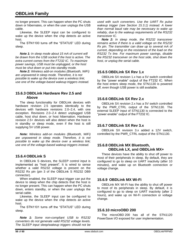no longer present. This can happen when the PC shuts down or hibernates, or when the user unplugs the USB cable.

Likewise, the SLEEP input can be configured to wake up the device when the chip detects an active host.

The STN1100 turns off the "STATUS" LED during sleep.

*Note 1: In sleep mode about 15 mA of current will be drawn from the USB socket if the host is active. The extra current comes from the FT232 IC. To maximize power savings, USB must be unplugged, or the host must be shut down or put into standby mode.*

*Note 2: Wireless add-on modules (Bluetooth, WiFi) are unpowered in sleep mode. Therefore, it is not possible to wake up the device over a wireless link; use one of the voltage-based wakeup triggers instead.* 

## <span id="page-55-0"></span>**15.6.3 OBDLink Hardware Rev 2.5 and Above**

The sleep functionality for OBDLink devices with hardware revision 2.5 operates identically to the devices with hardware revisions 2.0–2.4, with one exception. Revisions 2.0–2.4 detect unplugged USB cable, host shut down, or host hibernation. Hardware revision 2.5+ devices will also detect when the host is in standby or sleep mode, even if the host is still supplying 5V USB power.

*Note: Wireless add-on modules (Bluetooth, WiFi) are unpowered in sleep mode. Therefore, it is not possible to wake up the device over a wireless link; use one of the voltage-based wakeup triggers instead.*

# <span id="page-55-1"></span>**15.6.4 OBDLink S**

In OBDLink S devices, the SLEEP control input is implemented as "host present". It is wired to sense whether a valid RS232 voltage is present on the RS232 Rx pin (pin 3 of the OBDLink S RS232 DB9 connector).

When enabled, the SLEEP input trigger can put the device to sleep when the chip detects that the host is no longer present. This can happen when the PC shuts down, enters standby, or when the user unplugs the serial cable.

Likewise, the SLEEP input can be configured to wake up the device when the chip detects an active host.

The STN1101 turns off the "STATUS" LED during sleep.

*Note 1: Some non-compliant USB to RS232 converters do not generate valid RS232 voltage levels. The SLEEP input sleep/wakeup triggers should not be* 

*used with such converters. Use the UART Rx pulse wakeup trigger (see Section [15.3.1\)](#page-53-0) instead. A lower than normal baud rate may be necessary to wake up reliably, due to the wakeup requirements of the RS232 transceiver IC.* 

*Note 2: In sleep mode, the RS232 transceiver remains active if there is a valid voltage on the RS232 Rx pin. The transmitter can draw up to several mA of current, depending on the resistance of the load on the RS232 Tx line. For maximum power savings, disable the RS232 transceiver on the host side, shut down the host, or unplug the serial cable.*

## <span id="page-55-2"></span>**15.6.5 OBDLink SX Rev 1.x**

OBDLink SX revision 1.x has a 5V switch controlled by the "power enable" output of the FT232 IC. When the host enters sleep mode, the STN1130 is powered off, even though USB power is still available.

## <span id="page-55-3"></span>**15.6.6 OBDLink SX Rev 2.x**

OBDLink SX revision 2.x has a 5V switch controlled by the PWR\_CTRL output of the STN1130. The external SLEEP input of STN1130 is connected to the "power enable" output of the FT232 IC.

# <span id="page-55-4"></span>**15.6.7 OBDLink SX Rev 3.x**

<span id="page-55-5"></span>OBDLink SX revision 3.x added a 12V switch, controlled by the PWR\_CTRL output of the STN1130.

## **15.6.8 OBDLink MX Bluetooth, OBDLink LX, and OBDLink MX+**

These devices have the ability to shut off power to most of their peripherals in sleep. By default, they are configured to go to sleep on UART inactivity (after 10 minutes), and wake up on Bluetooth connection or voltage change.

# <span id="page-55-6"></span>**15.6.9 OBDLink MX Wi-Fi**

OBDLink MX Wi-Fi has the ability to shut off power to most of its peripherals in sleep. By default, it is configured to go to sleep on UART inactivity (after 2 hours), and wake up on Wi-Fi connection or voltage change.

# <span id="page-55-7"></span>**15.6.10 microOBD 200**

The microOBD 200 has all of the STN1120 PowerSave I/O exposed for user implementation.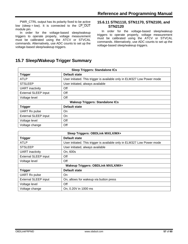PWR\_CTRL output has its polarity fixed to be active low (sleep = low). It is connected to the  $LP^-OUT$ module pin.

In order for the voltage-based sleep/wakeup triggers to operate properly, voltage measurement must be calibrated using the [ATCV](#page-11-3) or [STVCAL](#page-26-2) commands. Alternatively, use ADC counts to set up the voltage-based sleep/wakeup triggers.

#### <span id="page-56-0"></span>**15.6.11 STN1110, STN1170, STN2100, and STN2120**

In order for the voltage-based sleep/wakeup triggers to operate properly, voltage measurement must be calibrated using the [ATCV](#page-11-3) or [STVCAL](#page-26-2) commands. Alternatively, use ADC counts to set up the voltage-based sleep/wakeup triggers.

# <span id="page-56-1"></span>**15.7 Sleep/Wakeup Trigger Summary**

| <b>Sleep Triggers: Standalone ICs</b>  |                                                                         |  |
|----------------------------------------|-------------------------------------------------------------------------|--|
| <b>Trigger</b>                         | Default state                                                           |  |
| <b>ATLP</b>                            | User initiated. This trigger is available only in ELM327 Low Power mode |  |
| <b>STSLEEP</b>                         | User initiated, always available                                        |  |
| <b>UART</b> inactivity                 | Off                                                                     |  |
| <b>External SLEEP input</b>            | Off                                                                     |  |
| Voltage level                          | Off                                                                     |  |
| <b>Wakeup Triggers: Standalone ICs</b> |                                                                         |  |
| <b>Trigger</b>                         | Default state                                                           |  |
| <b>UART Rx pulse</b>                   | On                                                                      |  |
| <b>External SLEEP input</b>            | <b>On</b>                                                               |  |
| Voltage level                          | Off                                                                     |  |
| Voltage change                         | Off                                                                     |  |

<span id="page-56-2"></span>

| Sleep Triggers: OBDLink MX/LX/MX+  |                                                                         |  |
|------------------------------------|-------------------------------------------------------------------------|--|
| <b>Trigger</b>                     | Default state                                                           |  |
| ATLP                               | User initiated. This trigger is available only in ELM327 Low Power mode |  |
| <b>STSLEEP</b>                     | User initiated, always available                                        |  |
| <b>UART</b> inactivity             | On, 600s                                                                |  |
| <b>External SLEEP input</b>        | Off                                                                     |  |
| Voltage level                      | Off                                                                     |  |
| Wakeup Triggers: OBDLink MX/LX/MX+ |                                                                         |  |
| <b>Trigger</b>                     | Default state                                                           |  |
| <b>UART Rx pulse</b>               | On                                                                      |  |
| <b>External SLEEP input</b>        | On, allows for wakeup via button press                                  |  |
| Voltage level                      | Off                                                                     |  |
| Voltage change                     | On, 0.20V in 1000 ms                                                    |  |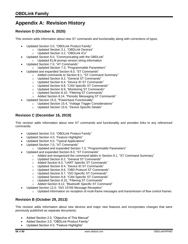# <span id="page-57-0"></span>**Appendix A: Revision History**

# **Revision D (October 6, 2020)**

This revision adds information about new ST commands and functionality along with corrections of typos.

- Updated Section [3.0,](#page-3-2) ["OBDLink Product Family"](#page-3-2)
	- o Updated Section [3.1,](#page-3-3) ["OBDLink Devices"](#page-3-3)
	- o Updated Section [3.2,](#page-4-0) ["OBDLink ICs"](#page-4-0)
- Updated Section [6.0,](#page-5-0) ["Communicating with the OBDLink"](#page-5-0) o Updated ELM prompt version string information
- Updated Section [7.0,](#page-6-0) ["AT Commands"](#page-6-0)
	- o Updated Section [7.3,](#page-16-0) ["Programmable Parameters"](#page-16-0)
- Updated and expanded Section [8.0,](#page-19-0) ["ST Commands"](#page-19-0)
	- o Added commands to Section [8.1,](#page-19-1) "ST [Command Summary"](#page-19-1)
		- o Updated Section [8.2,](#page-23-0) ["General ST Commands"](#page-23-0)
		- o Updated Section [8.4,](#page-25-0) ["Device ID ST Commands"](#page-25-0)
		- o Updated Section [8.8,](#page-30-0) ["CAN Specific ST Commands"](#page-30-0)
		- o Updated Section [8.9,](#page-31-0) ["Monitoring ST Commands"](#page-31-0)
		- o Updated Section [8.10,](#page-31-1) ["Filtering ST Commands"](#page-31-1)
		- o Added Section [8.14,](#page-37-1) ["Periodic Messaging](#page-37-1) ST Commands"
	- Updated Section [15.0,](#page-51-0) ["PowerSave Functionality"](#page-51-0)
		- o Updated Section [15.4,](#page-54-0) ["Voltage Trigger Considerations"](#page-54-0)
		- o Updated Section [15.6,](#page-54-2) ["Device Specific Details"](#page-54-2)

# **Revision C (December 16, 2019)**

This revision adds information about new ST commands and functionality and provides links to any referenced commands.

- Updated Section 3.0, "OBDLink Product Family"
- Updated Section 4.0, "Feature Highlights"
- Updated Section 5.0, "Typical Applications"
- Updated Section 7.0, "AT Commands"
	- o Updated and expanded Section 7.3, "Programmable Parameters"
- Updated and expanded Section 8.0, "ST Commands"
	- $\circ$  Added and reorganized the command tables in Section 8.1, "ST Command Summary"
		- o Updated Section 8.2, "General ST Commands"
		- o Added Section 8.3, "UART Specific ST Commands"
		- o Updated Section 8.4, "Device ID ST Commands"
		- o Updated Section 8.6, "OBD Protocol ST Commands"
		- o Updated Section 8.7, "ISO Specific ST Commands"
		- o Updated Section 8.8, "CAN Specific ST Commands"
		- o Updated Section 8.10, "Filtering ST Commands"
		- o Added Section 8.12, "Bluetooth Specific ST Command"
	- Updated Section 12.0, "ISO 15765 Message Reception"
		- o Updated information on reception of multi-frame messages and transmission of flow control frames

# **Revision B (October 29, 2013)**

This revision adds information about new devices and major new features and incorporates changes that were previously published as separate documents.

- Added Section 2.0, "Objective of This Manual"
- Added Section 3.0, "OBDLink Product Family"
- Updated Section 4.0, "Feature Highlights"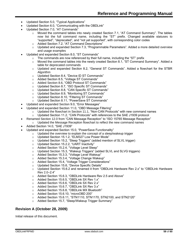- Updated Section 5.0, "Typical Applications"
- Updated Section 6.0, "Communicating with the OBDLink"
- Updated Section 7.0, "AT Commands"
	- $\circ$  Moved the command tables into newly created Section 7.1, "AT Command Summary". The tables now list the full command name, including the "ST" prefix. Changed available statuses to "supported", "deprecated", and "not yet supported", with corresponding color codes
	- o Added Section 7.2, "AT Command Descriptions"
	- $\circ$  Updated and expanded Section 7.3, "Programmable Parameters". Added a more detailed overview and usage examples
- Updated and expanded Section 8.0, "ST Commands"
	- o The commands are now referenced by their full name, including the "ST" prefix
	- $\circ$  Moved the command tables into the newly created Section 8.1, "ST Command Summary". Added a table for deprecated commands
	- o Updated and expanded Section 8.2, "General ST Commands". Added a flowchart for the STBR Algorithm
	- o Updated Section 8.4, "Device ID ST Commands"
	- o Added Section 8.5, "Voltage ST Commands"
	- o Added Section 8.6, "OBD Protocol ST Commands"
	- o Updated Section 8.7, "ISO Specific ST Commands"
	- o Updated Section 8.8, "CAN Specific ST Commands"
	- o Updated Section 8.9, "Monitoring ST Commands"
	- o Updated Section 8.10, "Filtering ST Commands"
	- o Updated Section 8.11, "PowerSave ST Commands"
- Updated and expanded Section 9.0, "Error Messages"
- Updated and expanded Section 11.0, "OBD Message Filtering"
	- o Updated the flowchart in Section 11.1, "Non-CAN Protocols" with new command names
	- o Updated Section 11.2, "CAN Protocols" with references to the SAE J1939 protocol
- Renamed Section 12.0 from "CAN Message Reception" to "ISO 15765 Message Reception"
	- $\circ$  Updated the Message Reception flowchart to reflect the new command names
- Added Section 14.0, "SAE J1939"
- Updated and expanded Section 15.0, "PowerSave Functionality"
	- $\circ$  Updated the overview to explain the concept of a sleep/wakeup trigger
	- o Updated Section 15.1.2, "ELM327 Low Power Mode"
	- o Updated Section 15.2, "Sleep Triggers" (added mention of SLVL trigger)
	- o Updated Section 15.2.2, "UART Inactivity"
	- o Added Section 15.2.4, "Voltage Level Sleep"
	- o Updated Section 15.3, "Wakeup Triggers" (added SLVL and SLVG triggers)
	- o Added Section 15.3.3, "Voltage Level Wakeup"
	- o Added Section 15.3.4, "Voltage Change Wakeup"
	- o Added Section 15.4, "Voltage Trigger Considerations"
	- o Updated Section 15.6, "Device Specific Details"
	- o Updated Section 15.6.2 and renamed it from "OBDLink Hardware Rev 2.x" to "OBDLink Hardware Rev 2.0–2.4"
	- o Added Section 15.6.3, "OBDLink Hardware Rev 2.5 and Above"
	- o Added Section 15.6.5, "OBDLink SX Rev 1.x"
	- o Added Section 15.6.6, "OBDLink SX Rev 2.x"
	- o Added Section 15.6.7, "OBDLink SX Rev 3.x"
	- o Added Section 15.6.8, "OBDLink MX Bluetooth"
	- o Added Section 15.6.10, "microOBD 200"
	- o Added Section 15.6.11, "STN1110, STN1170, STN2100, and STN2120"
	- o Added Section 15.7, "Sleep/Wakeup Trigger Summary"

# **Revision A (October 28, 2009)**

Initial release of this document.